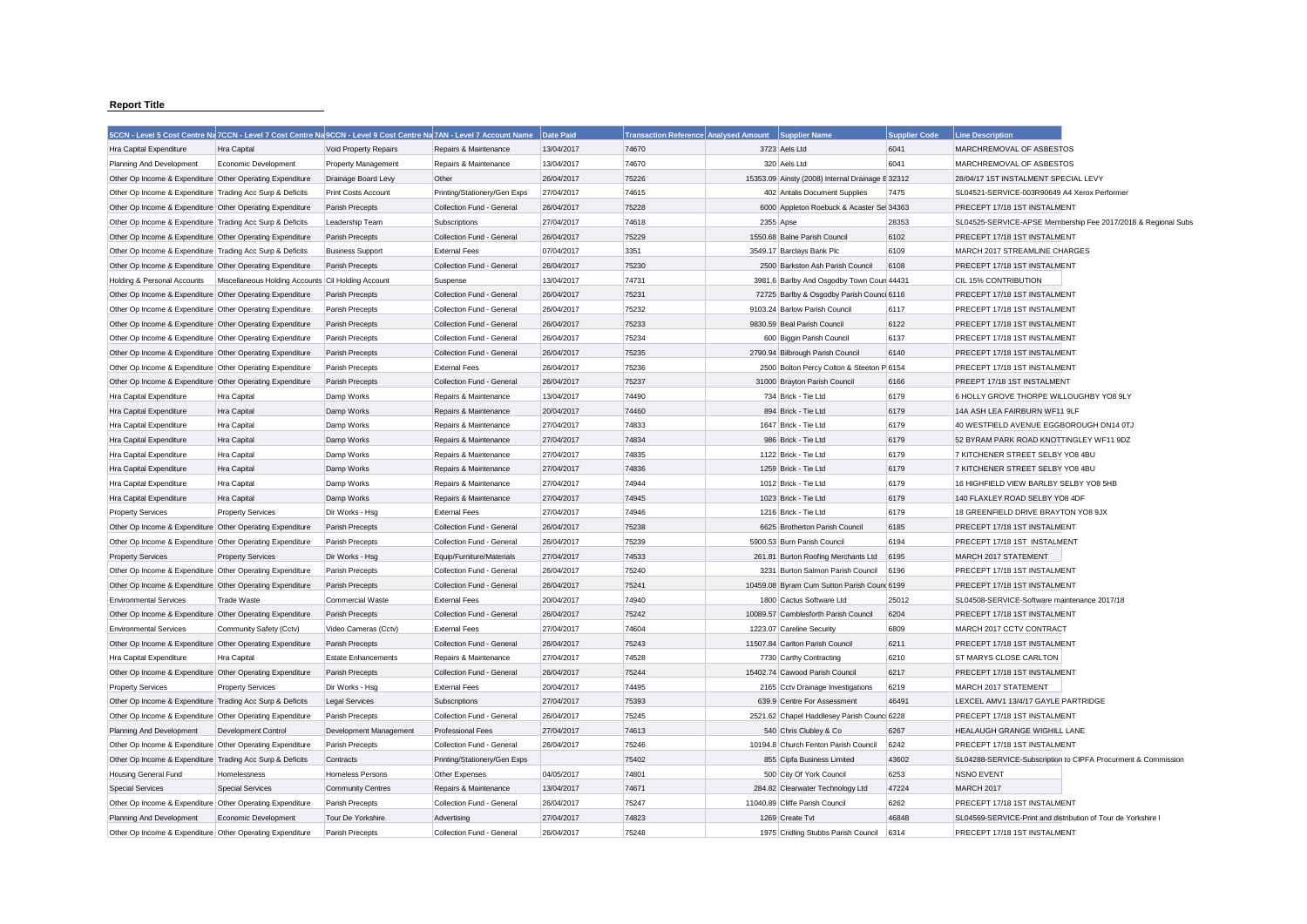## **Report Title**

| 5CCN - Level 5 Cost Centre Na 7CCN - Level 7 Cost Centre Na 9CCN - Level 9 Cost Centre Na 7AN - Level 7 Account Name |                                                    |                            |                              | Date Paid  | Transaction Reference Analysed Amount Supplier Name |           |                                             | <b>Supplier Code</b> | <b>Line Description</b>                                       |
|----------------------------------------------------------------------------------------------------------------------|----------------------------------------------------|----------------------------|------------------------------|------------|-----------------------------------------------------|-----------|---------------------------------------------|----------------------|---------------------------------------------------------------|
| Hra Capital Expenditure                                                                                              | Hra Capital                                        | Void Property Repairs      | Repairs & Maintenance        | 13/04/2017 | 74670                                               |           | 3723 Aels Ltd                               | 6041                 | MARCHREMOVAL OF ASBESTOS                                      |
| Planning And Development                                                                                             | Economic Development                               | <b>Property Management</b> | Repairs & Maintenance        | 13/04/2017 | 74670                                               |           | 320 Aels Ltd                                | 6041                 | MARCHREMOVAL OF ASBESTOS                                      |
| Other Op Income & Expenditure Other Operating Expenditure                                                            |                                                    | Drainage Board Levy        | Other                        | 26/04/2017 | 75226                                               |           | 15353.09 Ainsty (2008) Internal Drainage    | E 32312              | 28/04/17 1ST INSTALMENT SPECIAL LEVY                          |
| Other Op Income & Expenditure Trading Acc Surp & Deficits                                                            |                                                    | <b>Print Costs Account</b> | Printing/Stationery/Gen Exps | 27/04/2017 | 74615                                               |           | 402 Antalis Document Supplies               | 7475                 | SL04521-SERVICE-003R90649 A4 Xerox Performer                  |
| Other Op Income & Expenditure Other Operating Expenditure                                                            |                                                    | Parish Precepts            | Collection Fund - General    | 26/04/2017 | 75228                                               |           | 6000 Appleton Roebuck & Acaster Sel 34363   |                      | PRECEPT 17/18 1ST INSTALMENT                                  |
| Other Op Income & Expenditure Trading Acc Surp & Deficits                                                            |                                                    | Leadership Team            | Subscriptions                | 27/04/2017 | 74618                                               | 2355 Apse |                                             | 28353                | SL04525-SERVICE-APSE Membership Fee 2017/2018 & Regional Subs |
| Other Op Income & Expenditure Other Operating Expenditure                                                            |                                                    | Parish Precepts            | Collection Fund - General    | 26/04/2017 | 75229                                               |           | 1550.68 Balne Parish Council                | 6102                 | PRECEPT 17/18 1ST INSTALMENT                                  |
| Other Op Income & Expenditure Trading Acc Surp & Deficits                                                            |                                                    | <b>Business Support</b>    | <b>External Fees</b>         | 07/04/2017 | 3351                                                |           | 3549.17 Barclays Bank Plc                   | 6109                 | MARCH 2017 STREAMLINE CHARGES                                 |
| Other Op Income & Expenditure Other Operating Expenditure                                                            |                                                    | Parish Precepts            | Collection Fund - General    | 26/04/2017 | 75230                                               |           | 2500 Barkston Ash Parish Council            | 6108                 | PRECEPT 17/18 1ST INSTALMENT                                  |
| Holding & Personal Accounts                                                                                          | Miscellaneous Holding Accounts Cil Holding Account |                            | Suspense                     | 13/04/2017 | 74731                                               |           | 3981.6 Barlby And Osgodby Town Coun 44431   |                      | CIL 15% CONTRIBUTION                                          |
| Other Op Income & Expenditure Other Operating Expenditure                                                            |                                                    | Parish Precepts            | Collection Fund - General    | 26/04/2017 | 75231                                               |           | 72725 Barlby & Osgodby Parish Counci 6116   |                      | PRECEPT 17/18 1ST INSTALMENT                                  |
| Other Op Income & Expenditure Other Operating Expenditure                                                            |                                                    | Parish Precepts            | Collection Fund - General    | 26/04/2017 | 75232                                               |           | 9103.24 Barlow Parish Council               | 6117                 | PRECEPT 17/18 1ST INSTALMENT                                  |
| Other Op Income & Expenditure Other Operating Expenditure                                                            |                                                    | Parish Precepts            | Collection Fund - General    | 26/04/2017 | 75233                                               |           | 9830.59 Beal Parish Council                 | 6122                 | PRECEPT 17/18 1ST INSTALMENT                                  |
| Other Op Income & Expenditure Other Operating Expenditure                                                            |                                                    | Parish Precepts            | Collection Fund - General    | 26/04/2017 | 75234                                               |           | 600 Biggin Parish Council                   | 6137                 | PRECEPT 17/18 1ST INSTALMENT                                  |
| Other Op Income & Expenditure Other Operating Expenditure                                                            |                                                    | Parish Precepts            | Collection Fund - General    | 26/04/2017 | 75235                                               |           | 2790.94 Bilbrough Parish Council            | 6140                 | PRECEPT 17/18 1ST INSTALMENT                                  |
| Other Op Income & Expenditure Other Operating Expenditure                                                            |                                                    | Parish Precepts            | <b>External Fees</b>         | 26/04/2017 | 75236                                               |           | 2500 Bolton Percy Colton & Steeton P 6154   |                      | PRECEPT 17/18 1ST INSTALMENT                                  |
| Other Op Income & Expenditure Other Operating Expenditure                                                            |                                                    | Parish Precepts            | Collection Fund - General    | 26/04/2017 | 75237                                               |           | 31000 Brayton Parish Council                | 6166                 | PREEPT 17/18 1ST INSTALMENT                                   |
| Hra Capital Expenditure                                                                                              | Hra Capital                                        | Damp Works                 | Repairs & Maintenance        | 13/04/2017 | 74490                                               |           | 734 Brick - Tie Ltd                         | 6179                 | 6 HOLLY GROVE THORPE WILLOUGHBY YO8 9LY                       |
| Hra Capital Expenditure                                                                                              | Hra Capital                                        | Damp Works                 | Repairs & Maintenance        | 20/04/2017 | 74460                                               |           | 894 Brick - Tie Ltd                         | 6179                 | 14A ASH LEA FAIRBURN WF11 9LF                                 |
| Hra Capital Expenditure                                                                                              | Hra Capital                                        | Damp Works                 | Repairs & Maintenance        | 27/04/2017 | 74833                                               |           | 1647 Brick - Tie Ltd                        | 6179                 | 40 WESTFIELD AVENUE EGGBOROUGH DN14 0TJ                       |
| Hra Capital Expenditure                                                                                              | Hra Capital                                        | Damp Works                 | Repairs & Maintenance        | 27/04/2017 | 74834                                               |           | 986 Brick - Tie Ltd                         | 6179                 | 52 BYRAM PARK ROAD KNOTTINGLEY WF11 9DZ                       |
| Hra Capital Expenditure                                                                                              | Hra Capital                                        | Damp Works                 | Repairs & Maintenance        | 27/04/2017 | 74835                                               |           | 1122 Brick - Tie Ltd                        | 6179                 | 7 KITCHENER STREET SELBY YO8 4BU                              |
| Hra Capital Expenditure                                                                                              | Hra Capital                                        | Damp Works                 | Repairs & Maintenance        | 27/04/2017 | 74836                                               |           | 1259 Brick - Tie Ltd                        | 6179                 | 7 KITCHENER STREET SELBY YO8 4BU                              |
| Hra Capital Expenditure                                                                                              | Hra Capital                                        | Damp Works                 | Repairs & Maintenance        | 27/04/2017 | 74944                                               |           | 1012 Brick - Tie Ltd                        | 6179                 | 16 HIGHFIELD VIEW BARLBY SELBY YO8 5HB                        |
| Hra Capital Expenditure                                                                                              | Hra Capital                                        | Damp Works                 | Repairs & Maintenance        | 27/04/2017 | 74945                                               |           | 1023 Brick - Tie Ltd                        | 6179                 | 140 FLAXLEY ROAD SELBY YO8 4DF                                |
| <b>Property Services</b>                                                                                             | <b>Property Services</b>                           | Dir Works - Hsg            | <b>External Fees</b>         | 27/04/2017 | 74946                                               |           | 1216 Brick - Tie Ltd                        | 6179                 | 18 GREENFIELD DRIVE BRAYTON YO8 9JX                           |
| Other Op Income & Expenditure Other Operating Expenditure                                                            |                                                    | Parish Precepts            | Collection Fund - General    | 26/04/2017 | 75238                                               |           | 6625 Brotherton Parish Council              | 6185                 | PRECEPT 17/18 1ST INSTALMENT                                  |
| Other Op Income & Expenditure Other Operating Expenditure                                                            |                                                    | Parish Precepts            | Collection Fund - General    | 26/04/2017 | 75239                                               |           | 5900.53 Burn Parish Council                 | 6194                 | PRECEPT 17/18 1ST INSTALMENT                                  |
| <b>Property Services</b>                                                                                             | <b>Property Services</b>                           | Dir Works - Hsg            | Equip/Furniture/Materials    | 27/04/2017 | 74533                                               |           | 261.81 Burton Roofing Merchants Ltd         | 6195                 | MARCH 2017 STATEMENT                                          |
| Other Op Income & Expenditure Other Operating Expenditure                                                            |                                                    | Parish Precepts            | Collection Fund - General    | 26/04/2017 | 75240                                               |           | 3231 Burton Salmon Parish Council           | 6196                 | PRECEPT 17/18 1ST INSTALMENT                                  |
| Other Op Income & Expenditure Other Operating Expenditure                                                            |                                                    | Parish Precepts            | Collection Fund - General    | 26/04/2017 | 75241                                               |           | 10459.08 Byram Cum Sutton Parish Count 6199 |                      | PRECEPT 17/18 1ST INSTALMENT                                  |
| <b>Environmental Services</b>                                                                                        | <b>Trade Waste</b>                                 | Commercial Waste           | <b>External Fees</b>         | 20/04/2017 | 74940                                               |           | 1800 Cactus Software Ltd                    | 25012                | SL04508-SERVICE-Software maintenance 2017/18                  |
| Other Op Income & Expenditure Other Operating Expenditure                                                            |                                                    | Parish Precepts            | Collection Fund - General    | 26/04/2017 | 75242                                               |           | 10089.57 Camblesforth Parish Council        | 6204                 | PRECEPT 17/18 1ST INSTALMENT                                  |
| <b>Environmental Services</b>                                                                                        | Community Safety (Cctv)                            | Video Cameras (Cctv)       | <b>External Fees</b>         | 27/04/2017 | 74604                                               |           | 1223.07 Careline Security                   | 6809                 | MARCH 2017 CCTV CONTRACT                                      |
| Other Op Income & Expenditure Other Operating Expenditure                                                            |                                                    | Parish Precepts            | Collection Fund - General    | 26/04/2017 | 75243                                               |           | 11507.84 Carlton Parish Council             | 6211                 | PRECEPT 17/18 1ST INSTALMENT                                  |
| Hra Capital Expenditure                                                                                              | Hra Capital                                        | <b>Estate Enhancements</b> | Repairs & Maintenance        | 27/04/2017 | 74528                                               |           | 7730 Carthy Contracting                     | 6210                 | ST MARYS CLOSE CARLTON                                        |
| Other Op Income & Expenditure Other Operating Expenditure                                                            |                                                    | Parish Precepts            | Collection Fund - General    | 26/04/2017 | 75244                                               |           | 15402.74 Cawood Parish Council              | 6217                 | PRECEPT 17/18 1ST INSTALMENT                                  |
| <b>Property Services</b>                                                                                             | <b>Property Services</b>                           | Dir Works - Hsg            | <b>External Fees</b>         | 20/04/2017 | 74495                                               |           | 2165 Cctv Drainage Investigations           | 6219                 | MARCH 2017 STATEMENT                                          |
| Other Op Income & Expenditure Trading Acc Surp & Deficits                                                            |                                                    | <b>Legal Services</b>      | Subscriptions                | 27/04/2017 | 75393                                               |           | 639.9 Centre For Assessment                 | 46491                | LEXCEL AMV1 13/4/17 GAYLE PARTRIDGE                           |
| Other Op Income & Expenditure Other Operating Expenditure                                                            |                                                    | Parish Precepts            | Collection Fund - General    | 26/04/2017 | 75245                                               |           | 2521.62 Chapel Haddlesey Parish Counci 6228 |                      | PRECEPT 17/18 1ST INSTALMENT                                  |
| Planning And Development                                                                                             | Development Control                                | Development Management     | <b>Professional Fees</b>     | 27/04/2017 | 74613                                               |           | 540 Chris Clubley & Co                      | 6267                 | HEALAUGH GRANGE WIGHILL LANE                                  |
| Other Op Income & Expenditure Other Operating Expenditure                                                            |                                                    | Parish Precepts            | Collection Fund - General    | 26/04/2017 | 75246                                               |           | 10194.8 Church Fenton Parish Council        | 6242                 | PRECEPT 17/18 1ST INSTALMENT                                  |
| Other Op Income & Expenditure Trading Acc Surp & Deficits                                                            |                                                    | Contracts                  | Printing/Stationery/Gen Exps |            | 75402                                               |           | 855 Cipfa Business Limited                  | 43602                | SL04288-SERVICE-Subscription to CIPFA Procurment & Commission |
| <b>Housing General Fund</b>                                                                                          | Homelessness                                       | <b>Homeless Persons</b>    | Other Expenses               | 04/05/2017 | 74801                                               |           | 500 City Of York Council                    | 6253                 | <b>NSNO EVENT</b>                                             |
| <b>Special Services</b>                                                                                              | <b>Special Services</b>                            | Community Centres          | Repairs & Maintenance        | 13/04/2017 | 74671                                               |           | 284.82 Clearwater Technology Ltd            | 47224                | <b>MARCH 2017</b>                                             |
| Other Op Income & Expenditure Other Operating Expenditure                                                            |                                                    | Parish Precepts            | Collection Fund - General    | 26/04/2017 | 75247                                               |           | 11040.89 Cliffe Parish Council              | 6262                 | PRECEPT 17/18 1ST INSTALMENT                                  |
| Planning And Development                                                                                             | Economic Development                               | Tour De Yorkshire          | Advertising                  | 27/04/2017 | 74823                                               |           | 1269 Create Tvt                             | 46848                | SL04569-SERVICE-Print and distribution of Tour de Yorkshire I |
| Other Op Income & Expenditure Other Operating Expenditure                                                            |                                                    | Parish Precepts            | Collection Fund - General    | 26/04/2017 | 75248                                               |           | 1975 Cridling Stubbs Parish Council         | 6314                 | PRECEPT 17/18 1ST INSTALMENT                                  |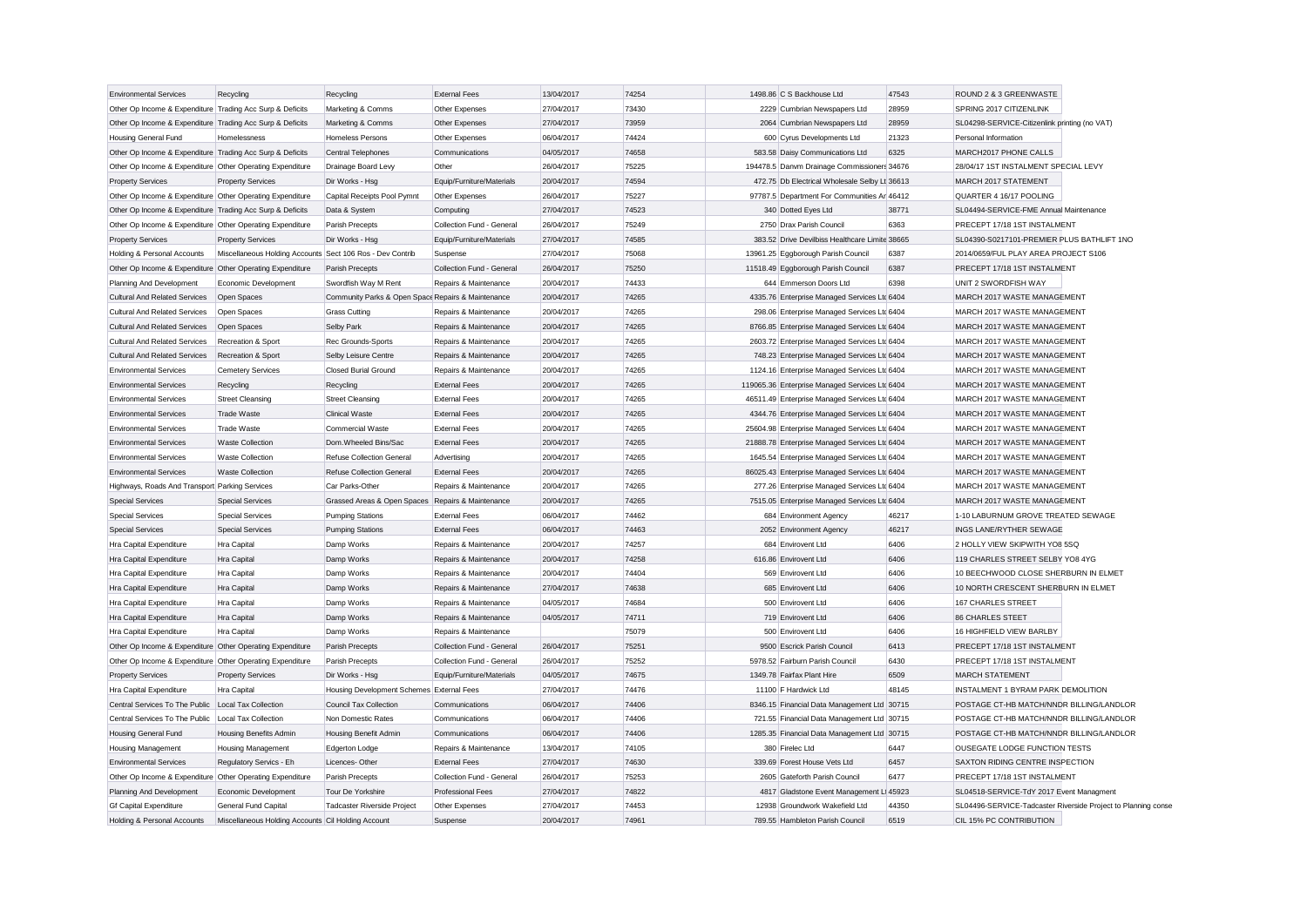| <b>Environmental Services</b>                             | Recycling                                                 | Recycling                                          | <b>External Fees</b>      | 13/04/2017 | 74254 | 1498.86 C S Backhouse Ltd                      | 47543 | ROUND 2 & 3 GREENWASTE                                        |
|-----------------------------------------------------------|-----------------------------------------------------------|----------------------------------------------------|---------------------------|------------|-------|------------------------------------------------|-------|---------------------------------------------------------------|
| Other Op Income & Expenditure Trading Acc Surp & Deficits |                                                           | Marketing & Comms                                  | Other Expenses            | 27/04/2017 | 73430 | 2229 Cumbrian Newspapers Ltd                   | 28959 | SPRING 2017 CITIZENLINK                                       |
| Other Op Income & Expenditure Trading Acc Surp & Deficits |                                                           | Marketing & Comms                                  | Other Expenses            | 27/04/2017 | 73959 | 2064 Cumbrian Newspapers Ltd                   | 28959 | SL04298-SERVICE-Citizenlink printing (no VAT)                 |
| Housing General Fund                                      | Homelessness                                              | Homeless Persons                                   | Other Expenses            | 06/04/2017 | 74424 | 600 Cyrus Developments Ltd                     | 21323 | Personal Information                                          |
| Other Op Income & Expenditure Trading Acc Surp & Deficits |                                                           | Central Telephones                                 | Communications            | 04/05/2017 | 74658 | 583.58 Daisy Communications Ltd                | 6325  | MARCH2017 PHONE CALLS                                         |
| Other Op Income & Expenditure Other Operating Expenditure |                                                           | Drainage Board Levy                                | Other                     | 26/04/2017 | 75225 | 194478.5 Danvm Drainage Commissioners 34676    |       | 28/04/17 1ST INSTALMENT SPECIAL LEVY                          |
| <b>Property Services</b>                                  | <b>Property Services</b>                                  | Dir Works - Hsg                                    | Equip/Furniture/Materials | 20/04/2017 | 74594 | 472.75 Db Electrical Wholesale Selby Lt 36613  |       | MARCH 2017 STATEMENT                                          |
| Other Op Income & Expenditure Other Operating Expenditure |                                                           | Capital Receipts Pool Pymnt                        | Other Expenses            | 26/04/2017 | 75227 | 97787.5 Department For Communities Ar 46412    |       | QUARTER 4 16/17 POOLING                                       |
| Other Op Income & Expenditure Trading Acc Surp & Deficits |                                                           | Data & System                                      | Computing                 | 27/04/2017 | 74523 | 340 Dotted Eyes Ltd                            | 38771 | SL04494-SERVICE-FME Annual Maintenance                        |
| Other Op Income & Expenditure Other Operating Expenditure |                                                           | Parish Precepts                                    | Collection Fund - General | 26/04/2017 | 75249 | 2750 Drax Parish Council                       | 6363  | PRECEPT 17/18 1ST INSTALMENT                                  |
| <b>Property Services</b>                                  | <b>Property Services</b>                                  | Dir Works - Hsg                                    | Equip/Furniture/Materials | 27/04/2017 | 74585 | 383.52 Drive Devilbiss Healthcare Limite 38665 |       | SL04390-S0217101-PREMIER PLUS BATHLIFT 1NO                    |
| Holding & Personal Accounts                               | Miscellaneous Holding Accounts Sect 106 Ros - Dev Contrib |                                                    | Suspense                  | 27/04/2017 | 75068 | 13961.25 Eqgborough Parish Council             | 6387  | 2014/0659/FUL PLAY AREA PROJECT S106                          |
| Other Op Income & Expenditure Other Operating Expenditure |                                                           | Parish Precepts                                    | Collection Fund - General | 26/04/2017 | 75250 | 11518.49 Eggborough Parish Council             | 6387  | PRECEPT 17/18 1ST INSTALMENT                                  |
| Planning And Development                                  | Economic Development                                      | Swordfish Way M Rent                               | Repairs & Maintenance     | 20/04/2017 | 74433 | 644 Emmerson Doors Ltd                         | 6398  | UNIT 2 SWORDFISH WAY                                          |
| <b>Cultural And Related Services</b>                      | Open Spaces                                               | Community Parks & Open Space Repairs & Maintenance |                           | 20/04/2017 | 74265 | 4335.76 Enterprise Managed Services Ltd 6404   |       | MARCH 2017 WASTE MANAGEMENT                                   |
| <b>Cultural And Related Services</b>                      | Open Spaces                                               | <b>Grass Cutting</b>                               | Repairs & Maintenance     | 20/04/2017 | 74265 | 298.06 Enterprise Managed Services Ltd 6404    |       | MARCH 2017 WASTE MANAGEMENT                                   |
| <b>Cultural And Related Services</b>                      | Open Spaces                                               | Selby Park                                         | Repairs & Maintenance     | 20/04/2017 | 74265 | 8766.85 Enterprise Managed Services Ltc 6404   |       | MARCH 2017 WASTE MANAGEMENT                                   |
| <b>Cultural And Related Services</b>                      | Recreation & Sport                                        | Rec Grounds-Sports                                 | Repairs & Maintenance     | 20/04/2017 | 74265 | 2603.72 Enterprise Managed Services Ltd 6404   |       | MARCH 2017 WASTE MANAGEMENT                                   |
| <b>Cultural And Related Services</b>                      | Recreation & Sport                                        | Selby Leisure Centre                               | Repairs & Maintenance     | 20/04/2017 | 74265 | 748.23 Enterprise Managed Services Ltd 6404    |       | MARCH 2017 WASTE MANAGEMENT                                   |
| <b>Environmental Services</b>                             | <b>Cemetery Services</b>                                  | <b>Closed Burial Ground</b>                        | Repairs & Maintenance     | 20/04/2017 | 74265 | 1124.16 Enterprise Managed Services Ltd 6404   |       | MARCH 2017 WASTE MANAGEMENT                                   |
| <b>Environmental Services</b>                             | Recycling                                                 | Recycling                                          | <b>External Fees</b>      | 20/04/2017 | 74265 | 119065.36 Enterprise Managed Services Ltc 6404 |       | MARCH 2017 WASTE MANAGEMENT                                   |
| <b>Environmental Services</b>                             | <b>Street Cleansing</b>                                   | <b>Street Cleansing</b>                            | <b>External Fees</b>      | 20/04/2017 | 74265 | 46511.49 Enterprise Managed Services Ltd 6404  |       | MARCH 2017 WASTE MANAGEMENT                                   |
| <b>Environmental Services</b>                             | <b>Trade Waste</b>                                        | <b>Clinical Waste</b>                              | <b>External Fees</b>      | 20/04/2017 | 74265 | 4344.76 Enterprise Managed Services Ltc 6404   |       | MARCH 2017 WASTE MANAGEMENT                                   |
| <b>Environmental Services</b>                             | <b>Trade Waste</b>                                        | Commercial Waste                                   | <b>External Fees</b>      | 20/04/2017 | 74265 | 25604.98 Enterprise Managed Services Ltd 6404  |       | MARCH 2017 WASTE MANAGEMENT                                   |
| <b>Environmental Services</b>                             | Waste Collection                                          | Dom.Wheeled Bins/Sac                               | <b>External Fees</b>      | 20/04/2017 | 74265 | 21888.78 Enterprise Managed Services Ltd 6404  |       | MARCH 2017 WASTE MANAGEMENT                                   |
| <b>Environmental Services</b>                             | <b>Waste Collection</b>                                   | Refuse Collection General                          | Advertising               | 20/04/2017 | 74265 | 1645.54 Enterprise Managed Services Ltd 6404   |       | MARCH 2017 WASTE MANAGEMENT                                   |
| <b>Environmental Services</b>                             | <b>Waste Collection</b>                                   | Refuse Collection General                          | <b>External Fees</b>      | 20/04/2017 | 74265 | 86025.43 Enterprise Managed Services Ltd 6404  |       | MARCH 2017 WASTE MANAGEMENT                                   |
| Highways, Roads And Transport Parking Services            |                                                           | Car Parks-Other                                    | Repairs & Maintenance     | 20/04/2017 | 74265 | 277.26 Enterprise Managed Services Ltd 6404    |       | MARCH 2017 WASTE MANAGEMENT                                   |
| <b>Special Services</b>                                   | <b>Special Services</b>                                   | Grassed Areas & Open Spaces Repairs & Maintenance  |                           | 20/04/2017 | 74265 | 7515.05 Enterprise Managed Services Ltd 6404   |       | MARCH 2017 WASTE MANAGEMENT                                   |
| <b>Special Services</b>                                   | <b>Special Services</b>                                   | <b>Pumping Stations</b>                            | <b>External Fees</b>      | 06/04/2017 | 74462 | 684 Environment Agency                         | 46217 | 1-10 LABURNUM GROVE TREATED SEWAGE                            |
| <b>Special Services</b>                                   | <b>Special Services</b>                                   | <b>Pumping Stations</b>                            | <b>External Fees</b>      | 06/04/2017 | 74463 | 2052 Environment Agency                        | 46217 | <b>INGS LANE/RYTHER SEWAGE</b>                                |
| Hra Capital Expenditure                                   | Hra Capital                                               | Damp Works                                         | Repairs & Maintenance     | 20/04/2017 | 74257 | 684 Envirovent Ltd                             | 6406  | 2 HOLLY VIEW SKIPWITH YO8 5SQ                                 |
| Hra Capital Expenditure                                   | Hra Capital                                               | Damp Works                                         | Repairs & Maintenance     | 20/04/2017 | 74258 | 616.86 Envirovent Ltd                          | 6406  | 119 CHARLES STREET SELBY YO8 4YG                              |
| Hra Capital Expenditure                                   | Hra Capital                                               | Damp Works                                         | Repairs & Maintenance     | 20/04/2017 | 74404 | 569 Envirovent Ltd                             | 6406  | 10 BEECHWOOD CLOSE SHERBURN IN ELMET                          |
| Hra Capital Expenditure                                   | Hra Capital                                               | Damp Works                                         | Repairs & Maintenance     | 27/04/2017 | 74638 | 685 Envirovent Ltd                             | 6406  | 10 NORTH CRESCENT SHERBURN IN ELMET                           |
| Hra Capital Expenditure                                   | Hra Capital                                               | Damp Works                                         | Repairs & Maintenance     | 04/05/2017 | 74684 | 500 Envirovent Ltd                             | 6406  | <b>167 CHARLES STREET</b>                                     |
| Hra Capital Expenditure                                   | <b>Hra Capital</b>                                        | Damp Works                                         | Repairs & Maintenance     | 04/05/2017 | 74711 | 719 Envirovent Ltd                             | 6406  | <b>86 CHARLES STEET</b>                                       |
| Hra Capital Expenditure                                   | Hra Capital                                               | Damp Works                                         | Repairs & Maintenance     |            | 75079 | 500 Envirovent Ltd                             | 6406  | 16 HIGHFIELD VIEW BARLBY                                      |
| Other Op Income & Expenditure Other Operating Expenditure |                                                           | Parish Precepts                                    | Collection Fund - General | 26/04/2017 | 75251 | 9500 Escrick Parish Council                    | 6413  | PRECEPT 17/18 1ST INSTALMENT                                  |
| Other Op Income & Expenditure Other Operating Expenditure |                                                           | Parish Precepts                                    | Collection Fund - General | 26/04/2017 | 75252 | 5978.52 Fairburn Parish Council                | 6430  | PRECEPT 17/18 1ST INSTALMENT                                  |
| <b>Property Services</b>                                  | <b>Property Services</b>                                  | Dir Works - Hsg                                    | Equip/Furniture/Materials | 04/05/2017 | 74675 | 1349.78 Fairfax Plant Hire                     | 6509  | <b>MARCH STATEMENT</b>                                        |
| Hra Capital Expenditure                                   | Hra Capital                                               | Housing Development Schemes External Fees          |                           | 27/04/2017 | 74476 | 11100 F Hardwick Ltd                           | 48145 | INSTALMENT 1 BYRAM PARK DEMOLITION                            |
| Central Services To The Public                            | <b>Local Tax Collection</b>                               | Council Tax Collection                             | Communications            | 06/04/2017 | 74406 | 8346.15 Financial Data Management Ltd 30715    |       | POSTAGE CT-HB MATCH/NNDR BILLING/LANDLOR                      |
| Central Services To The Public                            | Local Tax Collection                                      | Non Domestic Rates                                 | Communications            | 06/04/2017 | 74406 | 721.55 Financial Data Management Ltd 30715     |       | POSTAGE CT-HB MATCH/NNDR BILLING/LANDLOR                      |
| <b>Housing General Fund</b>                               | Housing Benefits Admin                                    | Housing Benefit Admin                              | Communications            | 06/04/2017 | 74406 | 1285.35 Financial Data Management Ltd 30715    |       | POSTAGE CT-HB MATCH/NNDR BILLING/LANDLOR                      |
| Housing Management                                        | Housing Management                                        | Edgerton Lodge                                     | Repairs & Maintenance     | 13/04/2017 | 74105 | 380 Firelec Ltd                                | 6447  | OUSEGATE LODGE FUNCTION TESTS                                 |
| <b>Environmental Services</b>                             | Regulatory Servics - Eh                                   | Licences-Other                                     | <b>External Fees</b>      | 27/04/2017 | 74630 | 339.69 Forest House Vets Ltd                   | 6457  | SAXTON RIDING CENTRE INSPECTION                               |
| Other Op Income & Expenditure Other Operating Expenditure |                                                           | Parish Precepts                                    | Collection Fund - General | 26/04/2017 | 75253 | 2605 Gateforth Parish Council                  | 6477  | PRECEPT 17/18 1ST INSTALMENT                                  |
| Planning And Development                                  | Economic Development                                      | Tour De Yorkshire                                  | <b>Professional Fees</b>  | 27/04/2017 | 74822 | 4817 Gladstone Event Management Li 45923       |       | SL04518-SERVICE-TdY 2017 Event Managment                      |
| <b>Gf Capital Expenditure</b>                             | General Fund Capital                                      | <b>Tadcaster Riverside Project</b>                 | Other Expenses            | 27/04/2017 | 74453 | 12938 Groundwork Wakefield Ltd                 | 44350 | SL04496-SERVICE-Tadcaster Riverside Project to Planning conse |
| Holding & Personal Accounts                               | Miscellaneous Holding Accounts Cil Holding Account        |                                                    | Suspense                  | 20/04/2017 | 74961 | 789.55 Hambleton Parish Council                | 6519  | CIL 15% PC CONTRIBUTION                                       |
|                                                           |                                                           |                                                    |                           |            |       |                                                |       |                                                               |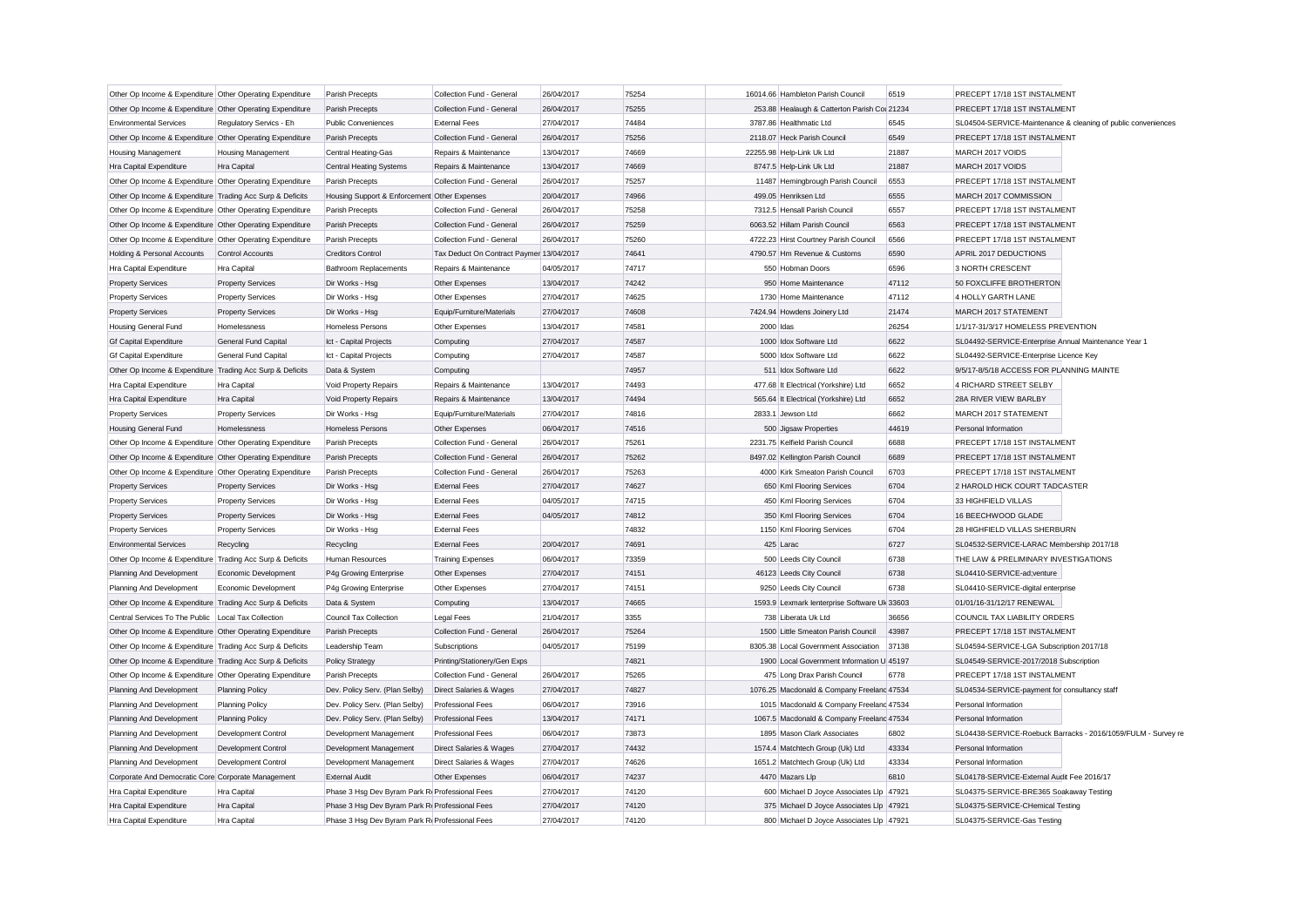| Other Op Income & Expenditure Other Operating Expenditure |                             | Parish Precepts                                 | Collection Fund - General                | 26/04/2017 | 75254 | 16014.66 Hambleton Parish Council            | 6519  | PRECEPT 17/18 1ST INSTALMENT                                  |
|-----------------------------------------------------------|-----------------------------|-------------------------------------------------|------------------------------------------|------------|-------|----------------------------------------------|-------|---------------------------------------------------------------|
| Other Op Income & Expenditure Other Operating Expenditure |                             | Parish Precepts                                 | Collection Fund - General                | 26/04/2017 | 75255 | 253.88 Healaugh & Catterton Parish Col 21234 |       | PRECEPT 17/18 1ST INSTALMENT                                  |
| <b>Environmental Services</b>                             | Regulatory Servics - Eh     | <b>Public Conveniences</b>                      | <b>External Fees</b>                     | 27/04/2017 | 74484 | 3787.86 Healthmatic Ltd                      | 6545  | SL04504-SERVICE-Maintenance & cleaning of public conveniences |
| Other Op Income & Expenditure Other Operating Expenditure |                             | Parish Precepts                                 | Collection Fund - General                | 26/04/2017 | 75256 | 2118.07 Heck Parish Council                  | 6549  | PRECEPT 17/18 1ST INSTALMENT                                  |
| <b>Housing Management</b>                                 | <b>Housing Management</b>   | Central Heating-Gas                             | Repairs & Maintenance                    | 13/04/2017 | 74669 | 22255.98 Help-Link Uk Ltd                    | 21887 | MARCH 2017 VOIDS                                              |
| Hra Capital Expenditure                                   | <b>Hra Capital</b>          | <b>Central Heating Systems</b>                  | Repairs & Maintenance                    | 13/04/2017 | 74669 | 8747.5 Help-Link Uk Ltd                      | 21887 | MARCH 2017 VOIDS                                              |
| Other Op Income & Expenditure Other Operating Expenditure |                             | Parish Precepts                                 | Collection Fund - General                | 26/04/2017 | 75257 | 11487 Hemingbrough Parish Council            | 6553  | PRECEPT 17/18 1ST INSTALMENT                                  |
| Other Op Income & Expenditure Trading Acc Surp & Deficits |                             | Housing Support & Enforcement Other Expenses    |                                          | 20/04/2017 | 74966 | 499.05 Henriksen Ltd                         | 6555  | MARCH 2017 COMMISSION                                         |
| Other Op Income & Expenditure Other Operating Expenditure |                             | Parish Precepts                                 | Collection Fund - General                | 26/04/2017 | 75258 | 7312.5 Hensall Parish Council                | 6557  | PRECEPT 17/18 1ST INSTALMENT                                  |
| Other Op Income & Expenditure Other Operating Expenditure |                             | Parish Precepts                                 | Collection Fund - General                | 26/04/2017 | 75259 | 6063.52 Hillam Parish Council                | 6563  | PRECEPT 17/18 1ST INSTALMENT                                  |
| Other Op Income & Expenditure Other Operating Expenditure |                             | Parish Precepts                                 | Collection Fund - General                | 26/04/2017 | 75260 | 4722.23 Hirst Courtney Parish Council        | 6566  | PRECEPT 17/18 1ST INSTALMENT                                  |
| Holding & Personal Accounts                               | Control Accounts            | <b>Creditors Control</b>                        | Tax Deduct On Contract Paymer 13/04/2017 |            | 74641 | 4790.57 Hm Revenue & Customs                 | 6590  | APRIL 2017 DEDUCTIONS                                         |
| Hra Capital Expenditure                                   | Hra Capital                 | <b>Bathroom Replacements</b>                    | Repairs & Maintenance                    | 04/05/2017 | 74717 | 550 Hobman Doors                             | 6596  | 3 NORTH CRESCENT                                              |
| <b>Property Services</b>                                  | <b>Property Services</b>    | Dir Works - Hsg                                 | Other Expenses                           | 13/04/2017 | 74242 | 950 Home Maintenance                         | 47112 | 50 FOXCLIFFE BROTHERTON                                       |
| <b>Property Services</b>                                  | <b>Property Services</b>    | Dir Works - Hsg                                 | Other Expenses                           | 27/04/2017 | 74625 | 1730 Home Maintenance                        | 47112 | 4 HOLLY GARTH LANE                                            |
| <b>Property Services</b>                                  | <b>Property Services</b>    | Dir Works - Hsg                                 | Equip/Furniture/Materials                | 27/04/2017 | 74608 | 7424.94 Howdens Joinery Ltd                  | 21474 | MARCH 2017 STATEMENT                                          |
| <b>Housing General Fund</b>                               | Homelessness                | Homeless Persons                                | Other Expenses                           | 13/04/2017 | 74581 | 2000 Idas                                    | 26254 | 1/1/17-31/3/17 HOMELESS PREVENTION                            |
| <b>Gf Capital Expenditure</b>                             | <b>General Fund Capital</b> | Ict - Capital Projects                          | Computing                                | 27/04/2017 | 74587 | 1000 Idox Software Ltd                       | 6622  | SL04492-SERVICE-Enterprise Annual Maintenance Year 1          |
| Gf Capital Expenditure                                    | General Fund Capital        | Ict - Capital Projects                          | Computing                                | 27/04/2017 | 74587 | 5000 Idox Software Ltd                       | 6622  | SL04492-SERVICE-Enterprise Licence Key                        |
| Other Op Income & Expenditure Trading Acc Surp & Deficits |                             | Data & System                                   | Computing                                |            | 74957 | 511 Idox Software Ltd                        | 6622  | 9/5/17-8/5/18 ACCESS FOR PLANNING MAINTE                      |
| Hra Capital Expenditure                                   | Hra Capital                 | Void Property Repairs                           | Repairs & Maintenance                    | 13/04/2017 | 74493 | 477.68 It Electrical (Yorkshire) Ltd         | 6652  | 4 RICHARD STREET SELBY                                        |
| Hra Capital Expenditure                                   | Hra Capital                 | Void Property Repairs                           | Repairs & Maintenance                    | 13/04/2017 | 74494 | 565.64 It Electrical (Yorkshire) Ltd         | 6652  | 28A RIVER VIEW BARLBY                                         |
| <b>Property Services</b>                                  | <b>Property Services</b>    | Dir Works - Hsg                                 | Equip/Furniture/Materials                | 27/04/2017 | 74816 | 2833.1 Jewson Ltd                            | 6662  | MARCH 2017 STATEMENT                                          |
| <b>Housing General Fund</b>                               | Homelessness                | Homeless Persons                                | Other Expenses                           | 06/04/2017 | 74516 | 500 Jigsaw Properties                        | 44619 | Personal Information                                          |
| Other Op Income & Expenditure Other Operating Expenditure |                             | Parish Precepts                                 | Collection Fund - General                | 26/04/2017 | 75261 | 2231.75 Kelfield Parish Council              | 6688  | PRECEPT 17/18 1ST INSTALMENT                                  |
| Other Op Income & Expenditure Other Operating Expenditure |                             | Parish Precepts                                 | Collection Fund - General                | 26/04/2017 | 75262 | 8497.02 Kellington Parish Council            | 6689  | PRECEPT 17/18 1ST INSTALMENT                                  |
| Other Op Income & Expenditure Other Operating Expenditure |                             | Parish Precepts                                 | Collection Fund - General                | 26/04/2017 | 75263 | 4000 Kirk Smeaton Parish Council             | 6703  | PRECEPT 17/18 1ST INSTALMENT                                  |
| <b>Property Services</b>                                  | <b>Property Services</b>    | Dir Works - Hsg                                 | <b>External Fees</b>                     | 27/04/2017 | 74627 | 650 Kml Flooring Services                    | 6704  | 2 HAROLD HICK COURT TADCASTER                                 |
| <b>Property Services</b>                                  | <b>Property Services</b>    | Dir Works - Hsg                                 | <b>External Fees</b>                     | 04/05/2017 | 74715 | 450 Kml Flooring Services                    | 6704  | 33 HIGHFIELD VILLAS                                           |
| <b>Property Services</b>                                  | <b>Property Services</b>    | Dir Works - Hsg                                 | <b>External Fees</b>                     | 04/05/2017 | 74812 | 350 Kml Flooring Services                    | 6704  | 16 BEECHWOOD GLADE                                            |
| <b>Property Services</b>                                  | <b>Property Services</b>    | Dir Works - Hsg                                 | <b>External Fees</b>                     |            | 74832 | 1150 Kml Flooring Services                   | 6704  | 28 HIGHFIELD VILLAS SHERBURN                                  |
| <b>Environmental Services</b>                             | Recycling                   | Recycling                                       | <b>External Fees</b>                     | 20/04/2017 | 74691 | 425 Larac                                    | 6727  | SL04532-SERVICE-LARAC Membership 2017/18                      |
| Other Op Income & Expenditure Trading Acc Surp & Deficits |                             | Human Resources                                 | <b>Training Expenses</b>                 | 06/04/2017 | 73359 | 500 Leeds City Council                       | 6738  | THE LAW & PRELIMINARY INVESTIGATIONS                          |
| Planning And Development                                  | Economic Development        | P4g Growing Enterprise                          | Other Expenses                           | 27/04/2017 | 74151 | 46123 Leeds City Council                     | 6738  | SL04410-SERVICE-ad;venture                                    |
| Planning And Development                                  | Economic Development        | P4g Growing Enterprise                          | Other Expenses                           | 27/04/2017 | 74151 | 9250 Leeds City Council                      | 6738  | SL04410-SERVICE-digital enterprise                            |
| Other Op Income & Expenditure Trading Acc Surp & Deficits |                             | Data & System                                   | Computing                                | 13/04/2017 | 74665 | 1593.9 Lexmark lenterprise Software Uk 33603 |       | 01/01/16-31/12/17 RENEWAL                                     |
| Central Services To The Public   Local Tax Collection     |                             | Council Tax Collection                          | Legal Fees                               | 21/04/2017 | 3355  | 738 Liberata Uk Ltd                          | 36656 | COUNCIL TAX LIABILITY ORDERS                                  |
| Other Op Income & Expenditure Other Operating Expenditure |                             | Parish Precepts                                 | Collection Fund - General                | 26/04/2017 | 75264 | 1500 Little Smeaton Parish Council           | 43987 | PRECEPT 17/18 1ST INSTALMENT                                  |
| Other Op Income & Expenditure Trading Acc Surp & Deficits |                             | Leadership Team                                 | Subscriptions                            | 04/05/2017 | 75199 | 8305.38 Local Government Association         | 37138 | SL04594-SERVICE-LGA Subscription 2017/18                      |
| Other Op Income & Expenditure Trading Acc Surp & Deficits |                             | <b>Policy Strategy</b>                          | Printing/Stationery/Gen Exps             |            | 74821 | 1900 Local Government Information U 45197    |       | SL04549-SERVICE-2017/2018 Subscription                        |
| Other Op Income & Expenditure Other Operating Expenditure |                             | Parish Precepts                                 | Collection Fund - General                | 26/04/2017 | 75265 | 475 Long Drax Parish Council                 | 6778  | PRECEPT 17/18 1ST INSTALMENT                                  |
| Planning And Development                                  | <b>Planning Policy</b>      | Dev. Policy Serv. (Plan Selby)                  | Direct Salaries & Wages                  | 27/04/2017 | 74827 | 1076.25 Macdonald & Company Freelanc 47534   |       | SL04534-SERVICE-payment for consultancy staff                 |
| Planning And Development                                  | <b>Planning Policy</b>      | Dev. Policy Serv. (Plan Selby)                  | Professional Fees                        | 06/04/2017 | 73916 | 1015 Macdonald & Company Freeland 47534      |       | Personal Information                                          |
| Planning And Development                                  | <b>Planning Policy</b>      | Dev. Policy Serv. (Plan Selby)                  | <b>Professional Fees</b>                 | 13/04/2017 | 74171 | 1067.5 Macdonald & Company Freelanc 47534    |       | Personal Information                                          |
| Planning And Development                                  | Development Control         | Development Management                          | <b>Professional Fees</b>                 | 06/04/2017 | 73873 | 1895 Mason Clark Associates                  | 6802  | SL04438-SERVICE-Roebuck Barracks - 2016/1059/FULM - Survey re |
| Planning And Development                                  | Development Control         | Development Management                          | Direct Salaries & Wages                  | 27/04/2017 | 74432 | 1574.4 Matchtech Group (Uk) Ltd              | 43334 | Personal Information                                          |
| Planning And Development                                  | Development Control         | Development Management                          | Direct Salaries & Wages                  | 27/04/2017 | 74626 | 1651.2 Matchtech Group (Uk) Ltd              | 43334 | Personal Information                                          |
| Corporate And Democratic Core Corporate Management        |                             | <b>External Audit</b>                           | Other Expenses                           | 06/04/2017 | 74237 | 4470 Mazars Llp                              | 6810  | SL04178-SERVICE-External Audit Fee 2016/17                    |
| Hra Capital Expenditure                                   | Hra Capital                 | Phase 3 Hsq Dev Byram Park R Professional Fees  |                                          | 27/04/2017 | 74120 | 600 Michael D Joyce Associates Llp 47921     |       | SL04375-SERVICE-BRE365 Soakaway Testing                       |
| Hra Capital Expenditure                                   | Hra Capital                 | Phase 3 Hsq Dev Byram Park Ri Professional Fees |                                          | 27/04/2017 | 74120 | 375 Michael D Joyce Associates Llp 47921     |       | SL04375-SERVICE-CHemical Testing                              |
|                                                           | Hra Capital                 | Phase 3 Hsg Dev Byram Park Ri Professional Fees |                                          | 27/04/2017 | 74120 | 800 Michael D Joyce Associates Llp 47921     |       | SL04375-SERVICE-Gas Testing                                   |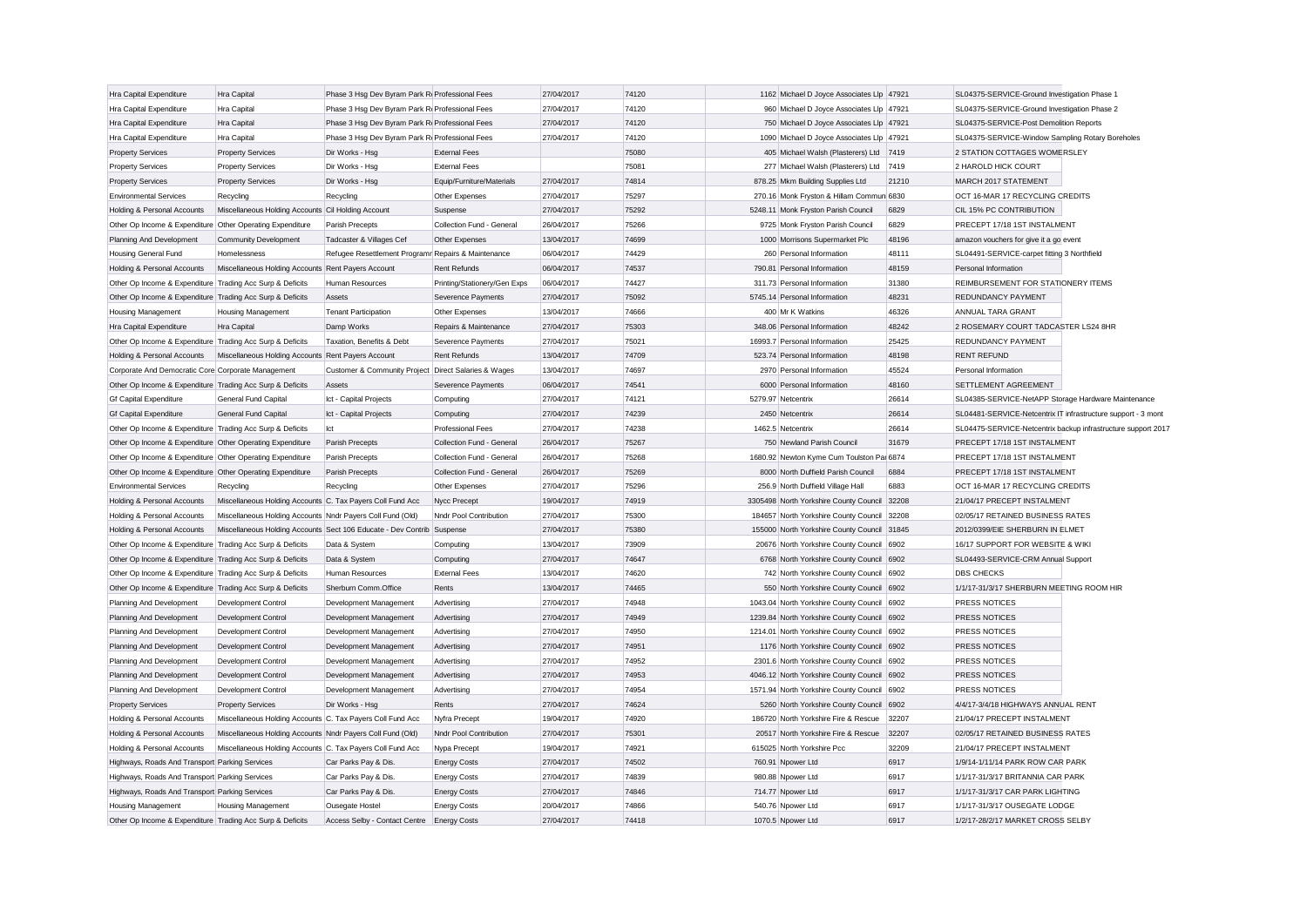| Hra Capital Expenditure                                                                | Hra Capital                                                | Phase 3 Hsq Dev Byram Park Ri Professional Fees                        |                                     | 27/04/2017               | 74120 | 1162 Michael D Joyce Associates Llp 47921    |       | SL04375-SERVICE-Ground Investigation Phase 1                  |  |
|----------------------------------------------------------------------------------------|------------------------------------------------------------|------------------------------------------------------------------------|-------------------------------------|--------------------------|-------|----------------------------------------------|-------|---------------------------------------------------------------|--|
| Hra Capital Expenditure                                                                | Hra Capital                                                | Phase 3 Hsq Dev Byram Park R Professional Fees                         |                                     | 27/04/2017               | 74120 | 960 Michael D Joyce Associates Llp 47921     |       | SL04375-SERVICE-Ground Investigation Phase 2                  |  |
| Hra Capital Expenditure                                                                | Hra Capital                                                | Phase 3 Hsq Dev Byram Park R Professional Fees                         |                                     | 27/04/2017               | 74120 | 750 Michael D Joyce Associates Llp 47921     |       | SL04375-SERVICE-Post Demolition Reports                       |  |
| Hra Capital Expenditure                                                                | Hra Capital                                                | Phase 3 Hsq Dev Byram Park R Professional Fees                         |                                     | 27/04/2017               | 74120 | 1090 Michael D Joyce Associates Llp 47921    |       | SL04375-SERVICE-Window Sampling Rotary Boreholes              |  |
| <b>Property Services</b>                                                               | <b>Property Services</b>                                   | Dir Works - Hsg                                                        | <b>External Fees</b>                |                          | 75080 | 405 Michael Walsh (Plasterers) Ltd           | 7419  | 2 STATION COTTAGES WOMERSLEY                                  |  |
| <b>Property Services</b>                                                               | <b>Property Services</b>                                   | Dir Works - Hsg                                                        | <b>External Fees</b>                |                          | 75081 | 277 Michael Walsh (Plasterers) Ltd 7419      |       | 2 HAROLD HICK COURT                                           |  |
| <b>Property Services</b>                                                               | <b>Property Services</b>                                   | Dir Works - Hsg                                                        | Equip/Furniture/Materials           | 27/04/2017               | 74814 | 878.25 Mkm Building Supplies Ltd             | 21210 | MARCH 2017 STATEMENT                                          |  |
| <b>Environmental Services</b>                                                          | Recycling                                                  | Recycling                                                              | Other Expenses                      | 27/04/2017               | 75297 | 270.16 Monk Fryston & Hillam Commun 6830     |       | OCT 16-MAR 17 RECYCLING CREDITS                               |  |
| Holding & Personal Accounts                                                            | Miscellaneous Holding Accounts Cil Holding Account         |                                                                        | Suspense                            | 27/04/2017               | 75292 | 5248.11 Monk Fryston Parish Council          | 6829  | CIL 15% PC CONTRIBUTION                                       |  |
| Other Op Income & Expenditure Other Operating Expenditure                              |                                                            | Parish Precepts                                                        | Collection Fund - General           | 26/04/2017               | 75266 | 9725 Monk Fryston Parish Council             | 6829  | PRECEPT 17/18 1ST INSTALMENT                                  |  |
| Planning And Development                                                               | Community Development                                      | Tadcaster & Villages Cef                                               | Other Expenses                      | 13/04/2017               | 74699 | 1000 Morrisons Supermarket Plc               | 48196 | amazon vouchers for give it a go event                        |  |
| Housing General Fund                                                                   | Homelessness                                               | Refugee Resettlement Programr Repairs & Maintenance                    |                                     | 06/04/2017               | 74429 | 260 Personal Information                     | 48111 | SL04491-SERVICE-carpet fitting 3 Northfield                   |  |
| Holding & Personal Accounts                                                            | Miscellaneous Holding Accounts Rent Payers Account         |                                                                        | <b>Rent Refunds</b>                 | 06/04/2017               | 74537 | 790.81 Personal Information                  | 48159 | Personal Information                                          |  |
| Other Op Income & Expenditure Trading Acc Surp & Deficits                              |                                                            | <b>Human Resources</b>                                                 | Printing/Stationery/Gen Exps        | 06/04/2017               | 74427 | 311.73 Personal Information                  | 31380 | REIMBURSEMENT FOR STATIONERY ITEMS                            |  |
| Other Op Income & Expenditure Trading Acc Surp & Deficits                              |                                                            | Assets                                                                 | Severence Payments                  | 27/04/2017               | 75092 | 5745.14 Personal Information                 | 48231 | REDUNDANCY PAYMENT                                            |  |
| Housing Management                                                                     | <b>Housing Management</b>                                  | <b>Tenant Participation</b>                                            | Other Expenses                      | 13/04/2017               | 74666 | 400 Mr K Watkins                             | 46326 | <b>ANNUAL TARA GRANT</b>                                      |  |
| Hra Capital Expenditure                                                                | Hra Capital                                                | Damp Works                                                             | Repairs & Maintenance               | 27/04/2017               | 75303 | 348.06 Personal Information                  | 48242 | 2 ROSEMARY COURT TADCASTER LS24 8HR                           |  |
| Other Op Income & Expenditure Trading Acc Surp & Deficits                              |                                                            | Taxation, Benefits & Debt                                              | Severence Payments                  | 27/04/2017               | 75021 | 16993.7 Personal Information                 | 25425 | REDUNDANCY PAYMENT                                            |  |
| Holding & Personal Accounts                                                            | Miscellaneous Holding Accounts Rent Payers Account         |                                                                        | <b>Rent Refunds</b>                 | 13/04/2017               | 74709 | 523.74 Personal Information                  | 48198 | <b>RENT REFUND</b>                                            |  |
| Corporate And Democratic Core Corporate Management                                     |                                                            | Customer & Community Project Direct Salaries & Wages                   |                                     | 13/04/2017               | 74697 | 2970 Personal Information                    | 45524 | Personal Information                                          |  |
| Other Op Income & Expenditure Trading Acc Surp & Deficits                              |                                                            | Assets                                                                 | Severence Payments                  | 06/04/2017               | 74541 | 6000 Personal Information                    | 48160 | SETTLEMENT AGREEMENT                                          |  |
| <b>Gf Capital Expenditure</b>                                                          | General Fund Capital                                       | Ict - Capital Projects                                                 | Computing                           | 27/04/2017               | 74121 | 5279.97 Netcentrix                           | 26614 | SL04385-SERVICE-NetAPP Storage Hardware Maintenance           |  |
| <b>Gf Capital Expenditure</b>                                                          | General Fund Capital                                       | Ict - Capital Projects                                                 | Computing                           | 27/04/2017               | 74239 | 2450 Netcentrix                              | 26614 | SL04481-SERVICE-Netcentrix IT infrastructure support - 3 mont |  |
| Other Op Income & Expenditure Trading Acc Surp & Deficits                              |                                                            | Ict                                                                    | Professional Fees                   | 27/04/2017               | 74238 | 1462.5 Netcentrix                            | 26614 | SL04475-SERVICE-Netcentrix backup infrastructure support 2017 |  |
| Other Op Income & Expenditure Other Operating Expenditure                              |                                                            | Parish Precepts                                                        | Collection Fund - General           | 26/04/2017               | 75267 | 750 Newland Parish Council                   | 31679 | PRECEPT 17/18 1ST INSTALMENT                                  |  |
| Other Op Income & Expenditure Other Operating Expenditure                              |                                                            | Parish Precepts                                                        | Collection Fund - General           | 26/04/2017               | 75268 | 1680.92 Newton Kyme Cum Toulston Par 6874    |       | PRECEPT 17/18 1ST INSTALMENT                                  |  |
| Other Op Income & Expenditure Other Operating Expenditure                              |                                                            | Parish Precepts                                                        | Collection Fund - General           | 26/04/2017               | 75269 | 8000 North Duffield Parish Council           | 6884  | PRECEPT 17/18 1ST INSTALMENT                                  |  |
| <b>Environmental Services</b>                                                          | Recycling                                                  | Recycling                                                              | Other Expenses                      | 27/04/2017               | 75296 | 256.9 North Duffield Village Hall            | 6883  | OCT 16-MAR 17 RECYCLING CREDITS                               |  |
| Holding & Personal Accounts                                                            | Miscellaneous Holding Accounts C. Tax Payers Coll Fund Acc |                                                                        | Nycc Precept                        | 19/04/2017               | 74919 | 3305498 North Yorkshire County Council 32208 |       | 21/04/17 PRECEPT INSTALMENT                                   |  |
| Holding & Personal Accounts                                                            | Miscellaneous Holding Accounts Nndr Payers Coll Fund (Old) |                                                                        | Nndr Pool Contribution              | 27/04/2017               | 75300 | 184657 North Yorkshire County Council 32208  |       | 02/05/17 RETAINED BUSINESS RATES                              |  |
| Holding & Personal Accounts                                                            |                                                            | Miscellaneous Holding Accounts Sect 106 Educate - Dev Contrib Suspense |                                     | 27/04/2017               | 75380 | 155000 North Yorkshire County Council 31845  |       | 2012/0399/EIE SHERBURN IN ELMET                               |  |
| Other Op Income & Expenditure Trading Acc Surp & Deficits                              |                                                            | Data & System                                                          | Computing                           | 13/04/2017               | 73909 | 20676 North Yorkshire County Council 6902    |       | 16/17 SUPPORT FOR WEBSITE & WIKI                              |  |
| Other Op Income & Expenditure Trading Acc Surp & Deficits                              |                                                            | Data & System                                                          | Computing                           | 27/04/2017               | 74647 | 6768 North Yorkshire County Council 6902     |       | SL04493-SERVICE-CRM Annual Support                            |  |
| Other Op Income & Expenditure Trading Acc Surp & Deficits                              |                                                            | <b>Human Resources</b>                                                 | <b>External Fees</b>                | 13/04/2017               | 74620 | 742 North Yorkshire County Council 6902      |       | <b>DBS CHECKS</b>                                             |  |
| Other Op Income & Expenditure Trading Acc Surp & Deficits                              |                                                            | Sherburn Comm.Office                                                   | Rents                               | 13/04/2017               | 74465 | 550 North Yorkshire County Council 6902      |       | 1/1/17-31/3/17 SHERBURN MEETING ROOM HIR                      |  |
| Planning And Development                                                               | Development Control                                        | Development Management                                                 | Advertising                         | 27/04/2017               | 74948 | 1043.04 North Yorkshire County Council 6902  |       | PRESS NOTICES                                                 |  |
| Planning And Development                                                               | Development Control                                        | Development Management                                                 | Advertising                         | 27/04/2017               | 74949 | 1239.84 North Yorkshire County Council 6902  |       | PRESS NOTICES                                                 |  |
| Planning And Development                                                               | Development Control                                        | Development Management                                                 | Advertising                         | 27/04/2017               | 74950 | 1214.01 North Yorkshire County Council 6902  |       | PRESS NOTICES                                                 |  |
| Planning And Development                                                               | Development Control                                        | Development Management                                                 | Advertising                         | 27/04/2017               | 74951 | 1176 North Yorkshire County Council 6902     |       | PRESS NOTICES                                                 |  |
| Planning And Development                                                               | Development Control                                        | Development Management                                                 | Advertising                         | 27/04/2017               | 74952 | 2301.6 North Yorkshire County Council 6902   |       | PRESS NOTICES                                                 |  |
| Planning And Development                                                               | Development Control                                        | Development Management                                                 | Advertising                         | 27/04/2017               | 74953 | 4046.12 North Yorkshire County Council 6902  |       | PRESS NOTICES                                                 |  |
|                                                                                        | Development Control                                        | Development Management                                                 | Advertising                         | 27/04/2017               | 74954 | 1571.94 North Yorkshire County Council 6902  |       | PRESS NOTICES                                                 |  |
| Planning And Development<br><b>Property Services</b>                                   | <b>Property Services</b>                                   | Dir Works - Hsg                                                        | Rents                               | 27/04/2017               | 74624 | 5260 North Yorkshire County Council 6902     |       | 4/4/17-3/4/18 HIGHWAYS ANNUAL RENT                            |  |
| Holding & Personal Accounts                                                            | Miscellaneous Holding Accounts C. Tax Payers Coll Fund Acc |                                                                        | Nyfra Precept                       | 19/04/2017               | 74920 | 186720 North Yorkshire Fire & Rescue         | 32207 | 21/04/17 PRECEPT INSTALMENT                                   |  |
| Holding & Personal Accounts                                                            | Miscellaneous Holding Accounts Nndr Payers Coll Fund (Old) |                                                                        | Nndr Pool Contribution              | 27/04/2017               | 75301 | 20517 North Yorkshire Fire & Rescue          | 32207 | 02/05/17 RETAINED BUSINESS RATES                              |  |
|                                                                                        |                                                            |                                                                        |                                     | 19/04/2017               | 74921 | 615025 North Yorkshire Pcc                   | 32209 | 21/04/17 PRECEPT INSTALMENT                                   |  |
| Holding & Personal Accounts<br>Highways, Roads And Transport Parking Services          | Miscellaneous Holding Accounts C. Tax Payers Coll Fund Acc | Car Parks Pay & Dis.                                                   | Nypa Precept<br><b>Energy Costs</b> | 27/04/2017               | 74502 | 760.91 Npower Ltd                            | 6917  | 1/9/14-1/11/14 PARK ROW CAR PARK                              |  |
|                                                                                        |                                                            |                                                                        |                                     |                          | 74839 | 980.88 Npower Ltd                            | 6917  | 1/1/17-31/3/17 BRITANNIA CAR PARK                             |  |
| Highways, Roads And Transport Parking Services                                         |                                                            | Car Parks Pay & Dis.                                                   | <b>Energy Costs</b>                 | 27/04/2017               | 74846 | 714.77 Npower Ltd                            | 6917  | 1/1/17-31/3/17 CAR PARK LIGHTING                              |  |
| Highways, Roads And Transport Parking Services                                         |                                                            | Car Parks Pay & Dis.                                                   | <b>Energy Costs</b>                 | 27/04/2017<br>20/04/2017 | 74866 |                                              | 6917  | 1/1/17-31/3/17 OUSEGATE LODGE                                 |  |
| <b>Housing Management</b><br>Other Op Income & Expenditure Trading Acc Surp & Deficits | <b>Housing Management</b>                                  | Ousegate Hostel<br>Access Selby - Contact Centre Energy Costs          | <b>Energy Costs</b>                 | 27/04/2017               | 74418 | 540.76 Npower Ltd<br>1070.5 Npower Ltd       | 6917  | 1/2/17-28/2/17 MARKET CROSS SELBY                             |  |
|                                                                                        |                                                            |                                                                        |                                     |                          |       |                                              |       |                                                               |  |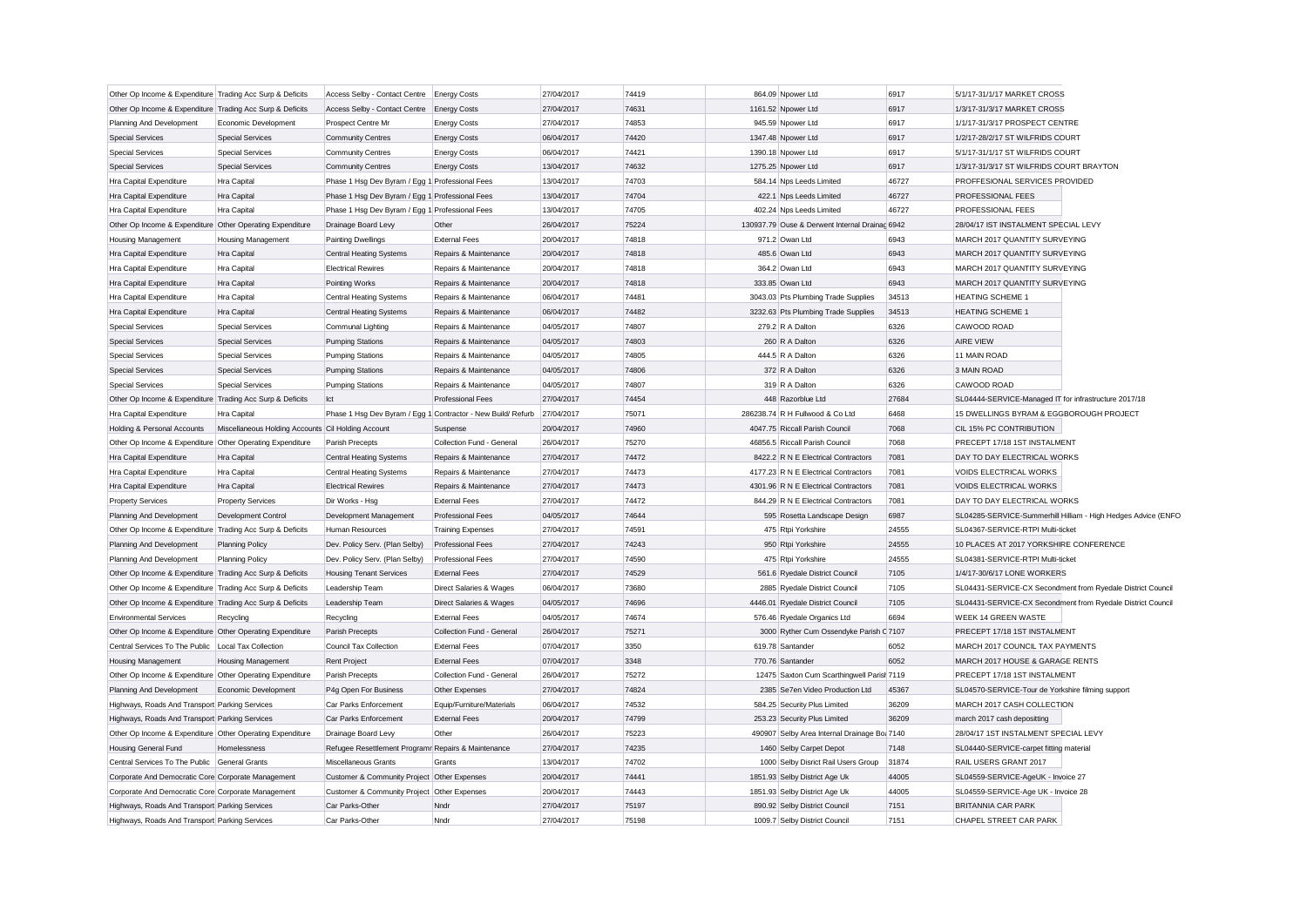| Other Op Income & Expenditure Trading Acc Surp & Deficits |                                                    | Access Selby - Contact Centre Energy Costs                   |                           | 27/04/2017 | 74419 | 864.09 Noower Ltd                              | 6917  | 5/1/17-31/1/17 MARKET CROSS                           |                                                               |
|-----------------------------------------------------------|----------------------------------------------------|--------------------------------------------------------------|---------------------------|------------|-------|------------------------------------------------|-------|-------------------------------------------------------|---------------------------------------------------------------|
| Other Op Income & Expenditure Trading Acc Surp & Deficits |                                                    | Access Selby - Contact Centre                                | <b>Energy Costs</b>       | 27/04/2017 | 74631 | 1161.52 Npower Ltd                             | 6917  | 1/3/17-31/3/17 MARKET CROSS                           |                                                               |
| Planning And Development                                  | Economic Development                               | Prospect Centre Mr                                           | <b>Energy Costs</b>       | 27/04/2017 | 74853 | 945.59 Npower Ltd                              | 6917  | 1/1/17-31/3/17 PROSPECT CENTRE                        |                                                               |
| <b>Special Services</b>                                   | <b>Special Services</b>                            | <b>Community Centres</b>                                     | <b>Energy Costs</b>       | 06/04/2017 | 74420 | 1347.48 Npower Ltd                             | 6917  | 1/2/17-28/2/17 ST WILFRIDS COURT                      |                                                               |
| <b>Special Services</b>                                   | <b>Special Services</b>                            | <b>Community Centres</b>                                     | <b>Energy Costs</b>       | 06/04/2017 | 74421 | 1390.18 Npower Ltd                             | 6917  | 5/1/17-31/1/17 ST WILFRIDS COURT                      |                                                               |
| <b>Special Services</b>                                   | <b>Special Services</b>                            | <b>Community Centres</b>                                     | <b>Energy Costs</b>       | 13/04/2017 | 74632 | 1275.25 Npower Ltd                             | 6917  | 1/3/17-31/3/17 ST WILFRIDS COURT BRAYTON              |                                                               |
| Hra Capital Expenditure                                   | Hra Capital                                        | Phase 1 Hsq Dev Byram / Egg 1 Professional Fees              |                           | 13/04/2017 | 74703 | 584.14 Nps Leeds Limited                       | 46727 | PROFFESIONAL SERVICES PROVIDED                        |                                                               |
| Hra Capital Expenditure                                   | Hra Capital                                        | Phase 1 Hsg Dev Byram / Egg 1 Professional Fees              |                           | 13/04/2017 | 74704 | 422.1 Nps Leeds Limited                        | 46727 | PROFESSIONAL FEES                                     |                                                               |
|                                                           | Hra Capital                                        | Phase 1 Hsq Dev Byram / Egg 1 Professional Fees              |                           | 13/04/2017 | 74705 | 402.24 Nps Leeds Limited                       | 46727 | PROFESSIONAL FEES                                     |                                                               |
| Hra Capital Expenditure                                   |                                                    |                                                              | Other                     |            |       |                                                |       |                                                       |                                                               |
| Other Op Income & Expenditure Other Operating Expenditure |                                                    | Drainage Board Levy                                          |                           | 26/04/2017 | 75224 | 130937.79 Ouse & Derwent Internal Drainac 6942 |       | 28/04/17 IST INSTALMENT SPECIAL LEVY                  |                                                               |
| Housing Management                                        | Housing Management                                 | <b>Painting Dwellings</b>                                    | <b>External Fees</b>      | 20/04/2017 | 74818 | 971.2 Owan Ltd                                 | 6943  | MARCH 2017 QUANTITY SURVEYING                         |                                                               |
| Hra Capital Expenditure                                   | <b>Hra Capital</b>                                 | <b>Central Heating Systems</b>                               | Repairs & Maintenance     | 20/04/2017 | 74818 | 485.6 Owan Ltd                                 | 6943  | MARCH 2017 QUANTITY SURVEYING                         |                                                               |
| Hra Capital Expenditure                                   | Hra Capital                                        | <b>Electrical Rewires</b>                                    | Repairs & Maintenance     | 20/04/2017 | 74818 | 364.2 Owan Ltd                                 | 6943  | MARCH 2017 QUANTITY SURVEYING                         |                                                               |
| Hra Capital Expenditure                                   | Hra Capital                                        | Pointing Works                                               | Repairs & Maintenance     | 20/04/2017 | 74818 | 333.85 Owan Ltd                                | 6943  | MARCH 2017 QUANTITY SURVEYING                         |                                                               |
| Hra Capital Expenditure                                   | Hra Capital                                        | Central Heating Systems                                      | Repairs & Maintenance     | 06/04/2017 | 74481 | 3043.03 Pts Plumbing Trade Supplies            | 34513 | <b>HEATING SCHEME 1</b>                               |                                                               |
| Hra Capital Expenditure                                   | Hra Capital                                        | <b>Central Heating Systems</b>                               | Repairs & Maintenance     | 06/04/2017 | 74482 | 3232.63 Pts Plumbing Trade Supplies            | 34513 | <b>HEATING SCHEME 1</b>                               |                                                               |
| <b>Special Services</b>                                   | <b>Special Services</b>                            | Communal Lighting                                            | Repairs & Maintenance     | 04/05/2017 | 74807 | 279.2 R A Dalton                               | 6326  | CAWOOD ROAD                                           |                                                               |
| <b>Special Services</b>                                   | <b>Special Services</b>                            | <b>Pumping Stations</b>                                      | Repairs & Maintenance     | 04/05/2017 | 74803 | 260 R A Dalton                                 | 6326  | <b>AIRE VIEW</b>                                      |                                                               |
| <b>Special Services</b>                                   | <b>Special Services</b>                            | <b>Pumping Stations</b>                                      | Repairs & Maintenance     | 04/05/2017 | 74805 | 444.5 R A Dalton                               | 6326  | 11 MAIN ROAD                                          |                                                               |
| <b>Special Services</b>                                   | <b>Special Services</b>                            | <b>Pumping Stations</b>                                      | Repairs & Maintenance     | 04/05/2017 | 74806 | 372 R A Dalton                                 | 6326  | 3 MAIN ROAD                                           |                                                               |
| <b>Special Services</b>                                   | <b>Special Services</b>                            | <b>Pumping Stations</b>                                      | Repairs & Maintenance     | 04/05/2017 | 74807 | 319 R A Dalton                                 | 6326  | CAWOOD ROAD                                           |                                                               |
| Other Op Income & Expenditure Trading Acc Surp & Deficits |                                                    | Ict                                                          | <b>Professional Fees</b>  | 27/04/2017 | 74454 | 448 Razorblue Ltd                              | 27684 | SL04444-SERVICE-Managed IT for infrastructure 2017/18 |                                                               |
| <b>Hra Capital Expenditure</b>                            | Hra Capital                                        | Phase 1 Hsg Dev Byram / Egg 1 Contractor - New Build/ Refurb |                           | 27/04/2017 | 75071 | 286238.74 R H Fullwood & Co Ltd                | 6468  | 15 DWELLINGS BYRAM & EGGBOROUGH PROJECT               |                                                               |
| Holding & Personal Accounts                               | Miscellaneous Holding Accounts Cil Holding Account |                                                              | Suspense                  | 20/04/2017 | 74960 | 4047.75 Riccall Parish Council                 | 7068  | CIL 15% PC CONTRIBUTION                               |                                                               |
| Other Op Income & Expenditure Other Operating Expenditure |                                                    | Parish Precepts                                              | Collection Fund - General | 26/04/2017 | 75270 | 46856.5 Riccall Parish Council                 | 7068  | PRECEPT 17/18 1ST INSTALMENT                          |                                                               |
| Hra Capital Expenditure                                   | Hra Capital                                        | <b>Central Heating Systems</b>                               | Repairs & Maintenance     | 27/04/2017 | 74472 | 8422.2 R N E Electrical Contractors            | 7081  | DAY TO DAY ELECTRICAL WORKS                           |                                                               |
| Hra Capital Expenditure                                   | Hra Capital                                        | <b>Central Heating Systems</b>                               | Repairs & Maintenance     | 27/04/2017 | 74473 | 4177.23 R N E Electrical Contractors           | 7081  | VOIDS ELECTRICAL WORKS                                |                                                               |
| Hra Capital Expenditure                                   | Hra Capital                                        | <b>Electrical Rewires</b>                                    | Repairs & Maintenance     | 27/04/2017 | 74473 | 4301.96 R N E Electrical Contractors           | 7081  | <b>VOIDS ELECTRICAL WORKS</b>                         |                                                               |
| <b>Property Services</b>                                  | <b>Property Services</b>                           | Dir Works - Hsg                                              | <b>External Fees</b>      | 27/04/2017 | 74472 | 844.29 R N E Electrical Contractors            | 7081  | DAY TO DAY ELECTRICAL WORKS                           |                                                               |
| Planning And Development                                  | Development Control                                | Development Management                                       | Professional Fees         | 04/05/2017 | 74644 | 595 Rosetta Landscape Design                   | 6987  |                                                       | SL04285-SERVICE-Summerhill Hilliam - High Hedges Advice (ENFC |
| Other Op Income & Expenditure Trading Acc Surp & Deficits |                                                    | Human Resources                                              | <b>Training Expenses</b>  | 27/04/2017 | 74591 | 475 Rtpi Yorkshire                             | 24555 | SL04367-SERVICE-RTPI Multi-ticket                     |                                                               |
| Planning And Development                                  | <b>Planning Policy</b>                             | Dev. Policy Serv. (Plan Selby)                               | <b>Professional Fees</b>  | 27/04/2017 | 74243 | 950 Rtpi Yorkshire                             | 24555 | 10 PLACES AT 2017 YORKSHIRE CONFERENCE                |                                                               |
| Planning And Development                                  | Planning Policy                                    | Dev. Policy Serv. (Plan Selby)                               | <b>Professional Fees</b>  | 27/04/2017 | 74590 | 475 Rtpi Yorkshire                             | 24555 | SL04381-SERVICE-RTPI Multi-ticket                     |                                                               |
| Other Op Income & Expenditure Trading Acc Surp & Deficits |                                                    | <b>Housing Tenant Services</b>                               | <b>External Fees</b>      | 27/04/2017 | 74529 | 561.6 Ryedale District Council                 | 7105  | 1/4/17-30/6/17 LONE WORKERS                           |                                                               |
| Other Op Income & Expenditure Trading Acc Surp & Deficits |                                                    | Leadership Team                                              | Direct Salaries & Wages   | 06/04/2017 | 73680 | 2885 Ryedale District Council                  | 7105  |                                                       | SL04431-SERVICE-CX Secondment from Ryedale District Council   |
| Other Op Income & Expenditure Trading Acc Surp & Deficits |                                                    | Leadership Team                                              | Direct Salaries & Wages   | 04/05/2017 | 74696 | 4446.01 Ryedale District Council               | 7105  |                                                       | SL04431-SERVICE-CX Secondment from Ryedale District Council   |
| <b>Environmental Services</b>                             | Recycling                                          |                                                              | <b>External Fees</b>      | 04/05/2017 | 74674 | 576.46 Ryedale Organics Ltd                    | 6694  | <b>WEEK 14 GREEN WASTE</b>                            |                                                               |
|                                                           |                                                    | Recycling                                                    | Collection Fund - General | 26/04/2017 | 75271 |                                                |       | PRECEPT 17/18 1ST INSTALMENT                          |                                                               |
| Other Op Income & Expenditure Other Operating Expenditure |                                                    | Parish Precepts                                              |                           |            | 3350  | 3000 Ryther Cum Ossendyke Parish C 7107        |       |                                                       |                                                               |
| Central Services To The Public   Local Tax Collection     |                                                    | Council Tax Collection                                       | <b>External Fees</b>      | 07/04/2017 |       | 619.78 Santander                               | 6052  | MARCH 2017 COUNCIL TAX PAYMENTS                       |                                                               |
| <b>Housing Management</b>                                 | <b>Housing Management</b>                          | Rent Project                                                 | <b>External Fees</b>      | 07/04/2017 | 3348  | 770.76 Santander                               | 6052  | MARCH 2017 HOUSE & GARAGE RENTS                       |                                                               |
| Other Op Income & Expenditure Other Operating Expenditure |                                                    | Parish Precepts                                              | Collection Fund - General | 26/04/2017 | 75272 | 12475 Saxton Cum Scarthingwell Parist 7119     |       | PRECEPT 17/18 1ST INSTALMENT                          |                                                               |
| Planning And Development                                  | Economic Development                               | P4q Open For Business                                        | Other Expenses            | 27/04/2017 | 74824 | 2385 Se7en Video Production Ltd                | 45367 | SL04570-SERVICE-Tour de Yorkshire filming support     |                                                               |
| Highways, Roads And Transport Parking Services            |                                                    | Car Parks Enforcement                                        | Equip/Furniture/Materials | 06/04/2017 | 74532 | 584.25 Security Plus Limited                   | 36209 | MARCH 2017 CASH COLLECTION                            |                                                               |
| Highways, Roads And Transport Parking Services            |                                                    | Car Parks Enforcement                                        | <b>External Fees</b>      | 20/04/2017 | 74799 | 253.23 Security Plus Limited                   | 36209 | march 2017 cash depositting                           |                                                               |
| Other Op Income & Expenditure Other Operating Expenditure |                                                    | Drainage Board Levy                                          | Other                     | 26/04/2017 | 75223 | 490907 Selby Area Internal Drainage Bo: 7140   |       | 28/04/17 1ST INSTALMENT SPECIAL LEVY                  |                                                               |
| Housing General Fund                                      | Homelessness                                       | Refugee Resettlement Programr Repairs & Maintenance          |                           | 27/04/2017 | 74235 | 1460 Selby Carpet Depot                        | 7148  | SL04440-SERVICE-carpet fitting material               |                                                               |
| Central Services To The Public General Grants             |                                                    | Miscellaneous Grants                                         | Grants                    | 13/04/2017 | 74702 | 1000 Selby Disrict Rail Users Group            | 31874 | RAIL USERS GRANT 2017                                 |                                                               |
| Corporate And Democratic Core Corporate Management        |                                                    | Customer & Community Project Other Expenses                  |                           | 20/04/2017 | 74441 | 1851.93 Selby District Age Uk                  | 44005 | SL04559-SERVICE-AgeUK - Invoice 27                    |                                                               |
| Corporate And Democratic Core Corporate Management        |                                                    | Customer & Community Project Other Expenses                  |                           | 20/04/2017 | 74443 | 1851.93 Selby District Age Uk                  | 44005 | SL04559-SERVICE-Age UK - Invoice 28                   |                                                               |
| Highways, Roads And Transport Parking Services            |                                                    | Car Parks-Other                                              | Nndr                      | 27/04/2017 | 75197 | 890.92 Selby District Council                  | 7151  | <b>BRITANNIA CAR PARK</b>                             |                                                               |
| Highways, Roads And Transport Parking Services            |                                                    | Car Parks-Other                                              | Nndr                      | 27/04/2017 | 75198 | 1009.7 Selby District Council                  | 7151  | CHAPEL STREET CAR PARK                                |                                                               |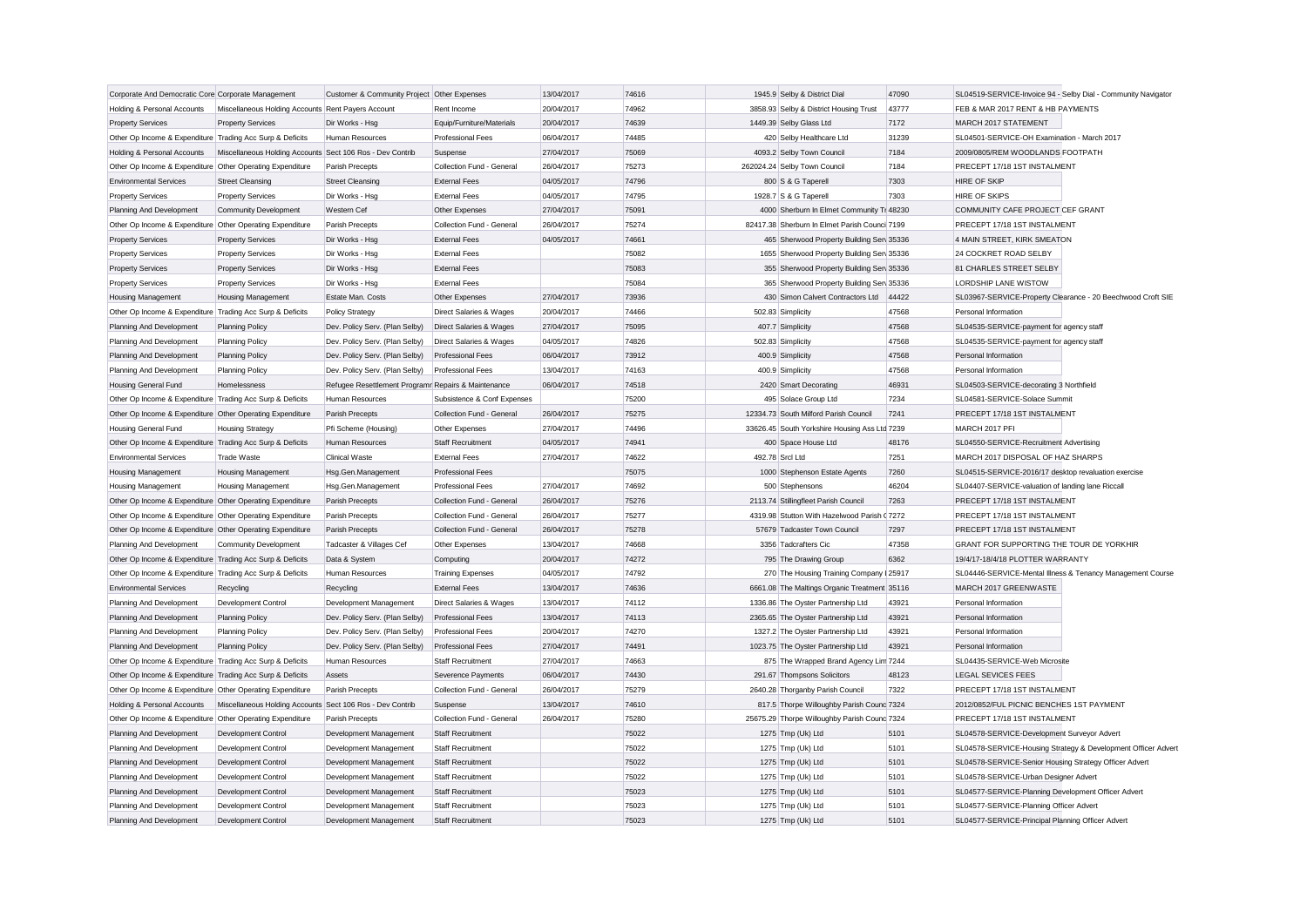| Corporate And Democratic Core Corporate Management        |                                                           | Customer & Community Project Other Expenses         |                             | 13/04/2017 | 74616 | 1945.9 Selby & District Dial                  | 47090 | SL04519-SERVICE-Invoice 94 - Selby Dial - Community Navigator |
|-----------------------------------------------------------|-----------------------------------------------------------|-----------------------------------------------------|-----------------------------|------------|-------|-----------------------------------------------|-------|---------------------------------------------------------------|
| Holding & Personal Accounts                               | Miscellaneous Holding Accounts Rent Payers Account        |                                                     | Rent Income                 | 20/04/2017 | 74962 | 3858.93 Selby & District Housing Trust        | 43777 | FEB & MAR 2017 RENT & HB PAYMENTS                             |
| <b>Property Services</b>                                  | <b>Property Services</b>                                  | Dir Works - Hsg                                     | Equip/Furniture/Materials   | 20/04/2017 | 74639 | 1449.39 Selby Glass Ltd                       | 7172  | MARCH 2017 STATEMENT                                          |
| Other Op Income & Expenditure Trading Acc Surp & Deficits |                                                           | <b>Human Resources</b>                              | <b>Professional Fees</b>    | 06/04/2017 | 74485 | 420 Selby Healthcare Ltd                      | 31239 | SL04501-SERVICE-OH Examination - March 2017                   |
| Holding & Personal Accounts                               | Miscellaneous Holding Accounts Sect 106 Ros - Dev Contrib |                                                     | Suspense                    | 27/04/2017 | 75069 | 4093.2 Selby Town Council                     | 7184  | 2009/0805/REM WOODLANDS FOOTPATH                              |
| Other Op Income & Expenditure Other Operating Expenditure |                                                           | Parish Precepts                                     | Collection Fund - General   | 26/04/2017 | 75273 | 262024.24 Selby Town Council                  | 7184  | PRECEPT 17/18 1ST INSTALMENT                                  |
| <b>Environmental Services</b>                             | <b>Street Cleansing</b>                                   | <b>Street Cleansing</b>                             | <b>External Fees</b>        | 04/05/2017 | 74796 | 800 S & G Taperell                            | 7303  | <b>HIRE OF SKIP</b>                                           |
| <b>Property Services</b>                                  | <b>Property Services</b>                                  | Dir Works - Hsg                                     | <b>External Fees</b>        | 04/05/2017 | 74795 | 1928.7 S & G Taperell                         | 7303  | <b>HIRE OF SKIPS</b>                                          |
| Planning And Development                                  | <b>Community Development</b>                              | Western Cef                                         | Other Expenses              | 27/04/2017 | 75091 | 4000 Sherburn In Elmet Community Tr 48230     |       | COMMUNITY CAFE PROJECT CEF GRANT                              |
| Other Op Income & Expenditure Other Operating Expenditure |                                                           | Parish Precepts                                     | Collection Fund - General   | 26/04/2017 | 75274 | 82417.38 Sherburn In Elmet Parish Counci 7199 |       | PRECEPT 17/18 1ST INSTALMENT                                  |
| <b>Property Services</b>                                  | <b>Property Services</b>                                  | Dir Works - Hsg                                     | <b>External Fees</b>        | 04/05/2017 | 74661 | 465 Sherwood Property Building Sen 35336      |       | 4 MAIN STREET, KIRK SMEATON                                   |
| <b>Property Services</b>                                  | <b>Property Services</b>                                  | Dir Works - Hsg                                     | <b>External Fees</b>        |            | 75082 | 1655 Sherwood Property Building Serv 35336    |       | 24 COCKRET ROAD SELBY                                         |
| <b>Property Services</b>                                  | <b>Property Services</b>                                  | Dir Works - Hsg                                     | <b>External Fees</b>        |            | 75083 | 355 Sherwood Property Building Sen 35336      |       | 81 CHARLES STREET SELBY                                       |
| <b>Property Services</b>                                  | <b>Property Services</b>                                  | Dir Works - Hsg                                     | <b>External Fees</b>        |            | 75084 | 365 Sherwood Property Building Sen 35336      |       | LORDSHIP LANE WISTOW                                          |
| Housing Management                                        | Housing Management                                        | Estate Man. Costs                                   | Other Expenses              | 27/04/2017 | 73936 | 430 Simon Calvert Contractors Ltd             | 44422 | SL03967-SERVICE-Property Clearance - 20 Beechwood Croft SIE   |
| Other Op Income & Expenditure Trading Acc Surp & Deficits |                                                           | Policy Strategy                                     | Direct Salaries & Wages     | 20/04/2017 | 74466 | 502.83 Simplicity                             | 47568 | Personal Information                                          |
| Planning And Development                                  | <b>Planning Policy</b>                                    | Dev. Policy Serv. (Plan Selby)                      | Direct Salaries & Wages     | 27/04/2017 | 75095 | 407.7 Simplicity                              | 47568 | SL04535-SERVICE-payment for agency staff                      |
| Planning And Development                                  | <b>Planning Policy</b>                                    | Dev. Policy Serv. (Plan Selby)                      | Direct Salaries & Wages     | 04/05/2017 | 74826 | 502.83 Simplicity                             | 47568 | SL04535-SERVICE-payment for agency staff                      |
| Planning And Development                                  | <b>Planning Policy</b>                                    | Dev. Policy Serv. (Plan Selby)                      | <b>Professional Fees</b>    | 06/04/2017 | 73912 | 400.9 Simplicity                              | 47568 | Personal Information                                          |
| Planning And Development                                  | <b>Planning Policy</b>                                    | Dev. Policy Serv. (Plan Selby)                      | <b>Professional Fees</b>    | 13/04/2017 | 74163 | 400.9 Simplicity                              | 47568 | Personal Information                                          |
| <b>Housing General Fund</b>                               | Homelessness                                              | Refugee Resettlement Programr Repairs & Maintenance |                             | 06/04/2017 | 74518 | 2420 Smart Decorating                         | 46931 | SL04503-SERVICE-decorating 3 Northfield                       |
| Other Op Income & Expenditure Trading Acc Surp & Deficits |                                                           | Human Resources                                     | Subsistence & Conf Expenses |            | 75200 | 495 Solace Group Ltd                          | 7234  | SL04581-SERVICE-Solace Summit                                 |
| Other Op Income & Expenditure Other Operating Expenditure |                                                           | Parish Precepts                                     | Collection Fund - General   | 26/04/2017 | 75275 | 12334.73 South Milford Parish Council         | 7241  | PRECEPT 17/18 1ST INSTALMENT                                  |
| Housing General Fund                                      | <b>Housing Strategy</b>                                   | Pfi Scheme (Housing)                                | Other Expenses              | 27/04/2017 | 74496 | 33626.45 South Yorkshire Housing Ass Ltd 7239 |       | MARCH 2017 PFI                                                |
| Other Op Income & Expenditure Trading Acc Surp & Deficits |                                                           | Human Resources                                     | <b>Staff Recruitment</b>    | 04/05/2017 | 74941 | 400 Space House Ltd                           | 48176 | SL04550-SERVICE-Recruitment Advertising                       |
| <b>Environmental Services</b>                             | <b>Trade Waste</b>                                        | Clinical Waste                                      | <b>External Fees</b>        | 27/04/2017 | 74622 | 492.78 Srcl Ltd                               | 7251  | MARCH 2017 DISPOSAL OF HAZ SHARPS                             |
| Housing Management                                        | Housing Management                                        | Hsg.Gen.Management                                  | Professional Fees           |            | 75075 | 1000 Stephenson Estate Agents                 | 7260  | SL04515-SERVICE-2016/17 desktop revaluation exercise          |
| Housing Management                                        | <b>Housing Management</b>                                 | Hsg.Gen.Management                                  | <b>Professional Fees</b>    | 27/04/2017 | 74692 | 500 Stephensons                               | 46204 | SL04407-SERVICE-valuation of landing lane Riccall             |
| Other Op Income & Expenditure Other Operating Expenditure |                                                           | Parish Precepts                                     | Collection Fund - General   | 26/04/2017 | 75276 | 2113.74 Stillingfleet Parish Council          | 7263  | PRECEPT 17/18 1ST INSTALMENT                                  |
| Other Op Income & Expenditure Other Operating Expenditure |                                                           | Parish Precepts                                     | Collection Fund - General   | 26/04/2017 | 75277 | 4319.98 Stutton With Hazelwood Parish (7272)  |       | PRECEPT 17/18 1ST INSTALMENT                                  |
| Other Op Income & Expenditure Other Operating Expenditure |                                                           | Parish Precepts                                     | Collection Fund - General   | 26/04/2017 | 75278 | 57679 Tadcaster Town Council                  | 7297  | PRECEPT 17/18 1ST INSTALMENT                                  |
| Planning And Development                                  | <b>Community Development</b>                              | Tadcaster & Villages Cef                            | Other Expenses              | 13/04/2017 | 74668 | 3356 Tadcrafters Cic                          | 47358 | GRANT FOR SUPPORTING THE TOUR DE YORKHIR                      |
| Other Op Income & Expenditure Trading Acc Surp & Deficits |                                                           | Data & System                                       | Computing                   | 20/04/2017 | 74272 | 795 The Drawing Group                         | 6362  | 19/4/17-18/4/18 PLOTTER WARRANTY                              |
| Other Op Income & Expenditure Trading Acc Surp & Deficits |                                                           | Human Resources                                     | <b>Training Expenses</b>    | 04/05/2017 | 74792 | 270 The Housing Training Company I 25917      |       | SL04446-SERVICE-Mental Illness & Tenancy Management Course    |
| <b>Environmental Services</b>                             | Recycling                                                 | Recycling                                           | <b>External Fees</b>        | 13/04/2017 | 74636 | 6661.08 The Maltings Organic Treatment 35116  |       | MARCH 2017 GREENWASTE                                         |
| Planning And Development                                  | Development Control                                       | Development Management                              | Direct Salaries & Wages     | 13/04/2017 | 74112 | 1336.86 The Oyster Partnership Ltd            | 43921 | Personal Information                                          |
| Planning And Development                                  | <b>Planning Policy</b>                                    | Dev. Policy Serv. (Plan Selby)                      | <b>Professional Fees</b>    | 13/04/2017 | 74113 | 2365.65 The Oyster Partnership Ltd            | 43921 | Personal Information                                          |
| Planning And Development                                  | <b>Planning Policy</b>                                    | Dev. Policy Serv. (Plan Selby)                      | <b>Professional Fees</b>    | 20/04/2017 | 74270 | 1327.2 The Oyster Partnership Ltd             | 43921 | Personal Information                                          |
| Planning And Development                                  | <b>Planning Policy</b>                                    | Dev. Policy Serv. (Plan Selby)                      | <b>Professional Fees</b>    | 27/04/2017 | 74491 | 1023.75 The Oyster Partnership Ltd            | 43921 | Personal Information                                          |
| Other Op Income & Expenditure Trading Acc Surp & Deficits |                                                           | Human Resources                                     | <b>Staff Recruitment</b>    | 27/04/2017 | 74663 | 875 The Wrapped Brand Agency Lim 7244         |       | SL04435-SERVICE-Web Microsite                                 |
| Other Op Income & Expenditure Trading Acc Surp & Deficits |                                                           | Assets                                              | Severence Payments          | 06/04/2017 | 74430 | 291.67 Thompsons Solicitors                   | 48123 | <b>LEGAL SEVICES FEES</b>                                     |
| Other Op Income & Expenditure Other Operating Expenditure |                                                           | Parish Precepts                                     | Collection Fund - General   | 26/04/2017 | 75279 | 2640.28 Thorganby Parish Council              | 7322  | PRECEPT 17/18 1ST INSTALMENT                                  |
| Holding & Personal Accounts                               | Miscellaneous Holding Accounts Sect 106 Ros - Dev Contrib |                                                     | Suspense                    | 13/04/2017 | 74610 | 817.5 Thorpe Willoughby Parish Counc 7324     |       | 2012/0852/FUL PICNIC BENCHES 1ST PAYMENT                      |
| Other Op Income & Expenditure Other Operating Expenditure |                                                           | Parish Precepts                                     | Collection Fund - General   | 26/04/2017 | 75280 | 25675.29 Thorpe Willoughby Parish Counc 7324  |       | PRECEPT 17/18 1ST INSTALMENT                                  |
| Planning And Development                                  | Development Control                                       | Development Management                              | <b>Staff Recruitment</b>    |            | 75022 | 1275 Tmp (Uk) Ltd                             | 5101  | SL04578-SERVICE-Development Surveyor Advert                   |
| Planning And Development                                  | Development Control                                       | Development Management                              | <b>Staff Recruitment</b>    |            | 75022 | 1275 Tmp (Uk) Ltd                             | 5101  | SL04578-SERVICE-Housing Strategy & Development Officer Advert |
| Planning And Development                                  | Development Control                                       | Development Management                              | <b>Staff Recruitment</b>    |            | 75022 | 1275 Tmp (Uk) Ltd                             | 5101  | SL04578-SERVICE-Senior Housing Strategy Officer Advert        |
| Planning And Development                                  | Development Control                                       | Development Management                              | <b>Staff Recruitment</b>    |            | 75022 | 1275 Tmp (Uk) Ltd                             | 5101  | SL04578-SERVICE-Urban Designer Advert                         |
| Planning And Development                                  | Development Control                                       | Development Management                              | <b>Staff Recruitment</b>    |            | 75023 | 1275 Tmp (Uk) Ltd                             | 5101  | SL04577-SERVICE-Planning Development Officer Advert           |
| Planning And Development                                  | Development Control                                       | Development Management                              | <b>Staff Recruitment</b>    |            | 75023 | 1275 Tmp (Uk) Ltd                             | 5101  | SL04577-SERVICE-Planning Officer Advert                       |
| Planning And Development                                  | <b>Development Control</b>                                | Development Management                              | <b>Staff Recruitment</b>    |            | 75023 | 1275 Tmp (Uk) Ltd                             | 5101  | SL04577-SERVICE-Principal Planning Officer Advert             |